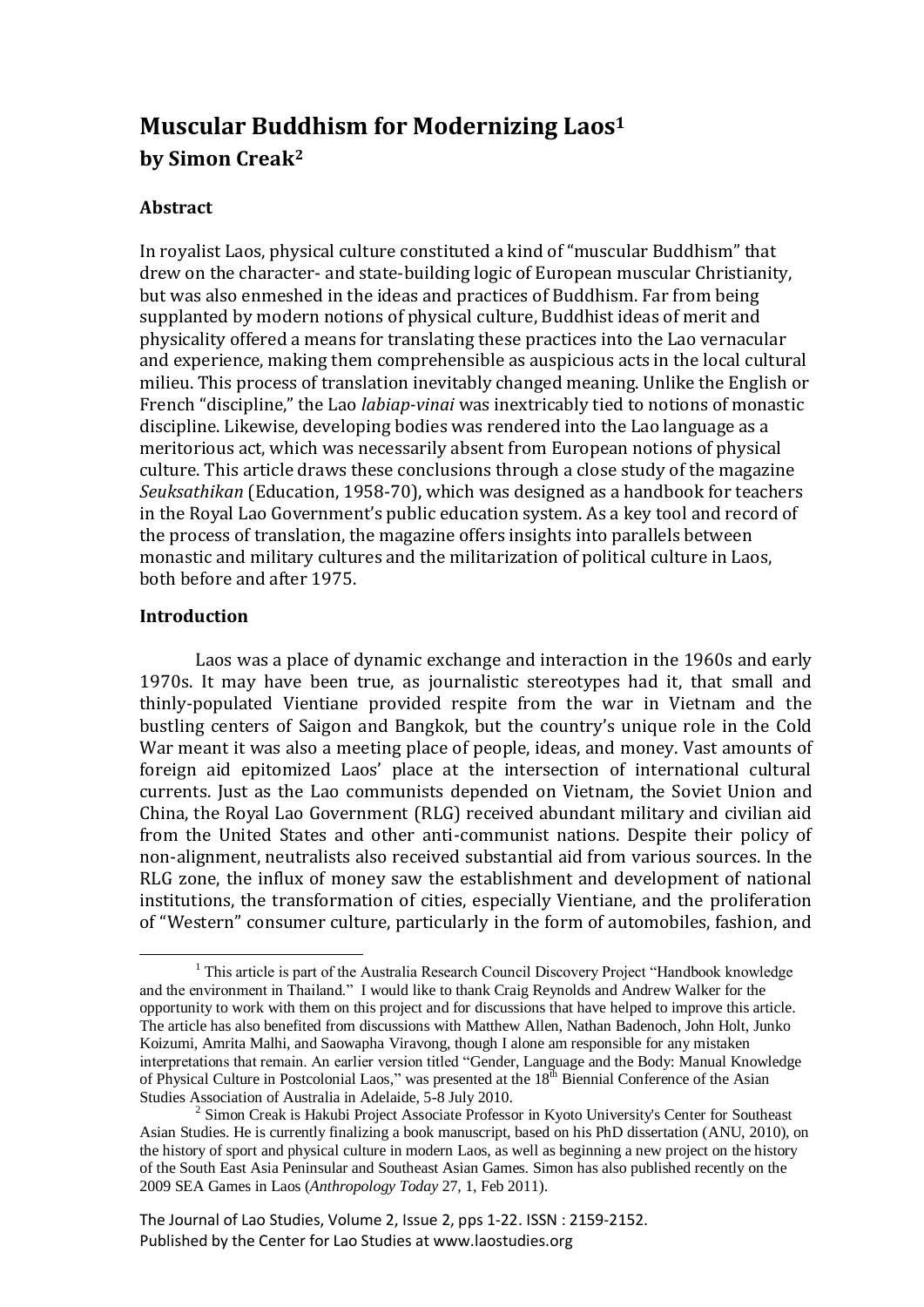# **Muscular Buddhism for Modernizing Laos<sup>1</sup> by Simon Creak<sup>2</sup>**

# **Abstract**

In royalist Laos, physical culture constituted a kind of "muscular Buddhism" that drew on the character- and state-building logic of European muscular Christianity, but was also enmeshed in the ideas and practices of Buddhism. Far from being supplanted by modern notions of physical culture, Buddhist ideas of merit and physicality offered a means for translating these practices into the Lao vernacular and experience, making them comprehensible as auspicious acts in the local cultural milieu. This process of translation inevitably changed meaning. Unlike the English or French "discipline," the Lao *labiap-vinai* was inextricably tied to notions of monastic discipline. Likewise, developing bodies was rendered into the Lao language as a meritorious act, which was necessarily absent from European notions of physical culture. This article draws these conclusions through a close study of the magazine *Seuksathikan* (Education, 1958-70), which was designed as a handbook for teachers in the Royal Lao Government's public education system. As a key tool and record of the process of translation, the magazine offers insights into parallels between monastic and military cultures and the militarization of political culture in Laos, both before and after 1975.

# **Introduction**

-

Laos was a place of dynamic exchange and interaction in the 1960s and early 1970s. It may have been true, as journalistic stereotypes had it, that small and thinly-populated Vientiane provided respite from the war in Vietnam and the bustling centers of Saigon and Bangkok, but the country's unique role in the Cold War meant it was also a meeting place of people, ideas, and money. Vast amounts of foreign aid epitomized Laos' place at the intersection of international cultural currents. Just as the Lao communists depended on Vietnam, the Soviet Union and China, the Royal Lao Government (RLG) received abundant military and civilian aid from the United States and other anti-communist nations. Despite their policy of non-alignment, neutralists also received substantial aid from various sources. In the RLG zone, the influx of money saw the establishment and development of national institutions, the transformation of cities, especially Vientiane, and the proliferation of "Western" consumer culture, particularly in the form of automobiles, fashion, and

The Journal of Lao Studies, Volume 2, Issue 2, pps 1-22. ISSN : 2159-2152. Published by the Center for Lao Studies at www.laostudies.org

<sup>&</sup>lt;sup>1</sup> This article is part of the Australia Research Council Discovery Project "Handbook knowledge" and the environment in Thailand." I would like to thank Craig Reynolds and Andrew Walker for the opportunity to work with them on this project and for discussions that have helped to improve this article. The article has also benefited from discussions with Matthew Allen, Nathan Badenoch, John Holt, Junko Koizumi, Amrita Malhi, and Saowapha Viravong, though I alone am responsible for any mistaken interpretations that remain. An earlier version titled "Gender, Language and the Body: Manual Knowledge of Physical Culture in Postcolonial Laos," was presented at the 18<sup>th</sup> Biennial Conference of the Asian Studies Association of Australia in Adelaide, 5-8 July 2010.

<sup>&</sup>lt;sup>2</sup> Simon Creak is Hakubi Project Associate Professor in Kyoto University's Center for Southeast Asian Studies. He is currently finalizing a book manuscript, based on his PhD dissertation (ANU, 2010), on the history of sport and physical culture in modern Laos, as well as beginning a new project on the history of the South East Asia Peninsular and Southeast Asian Games. Simon has also published recently on the 2009 SEA Games in Laos (*Anthropology Today* 27, 1, Feb 2011).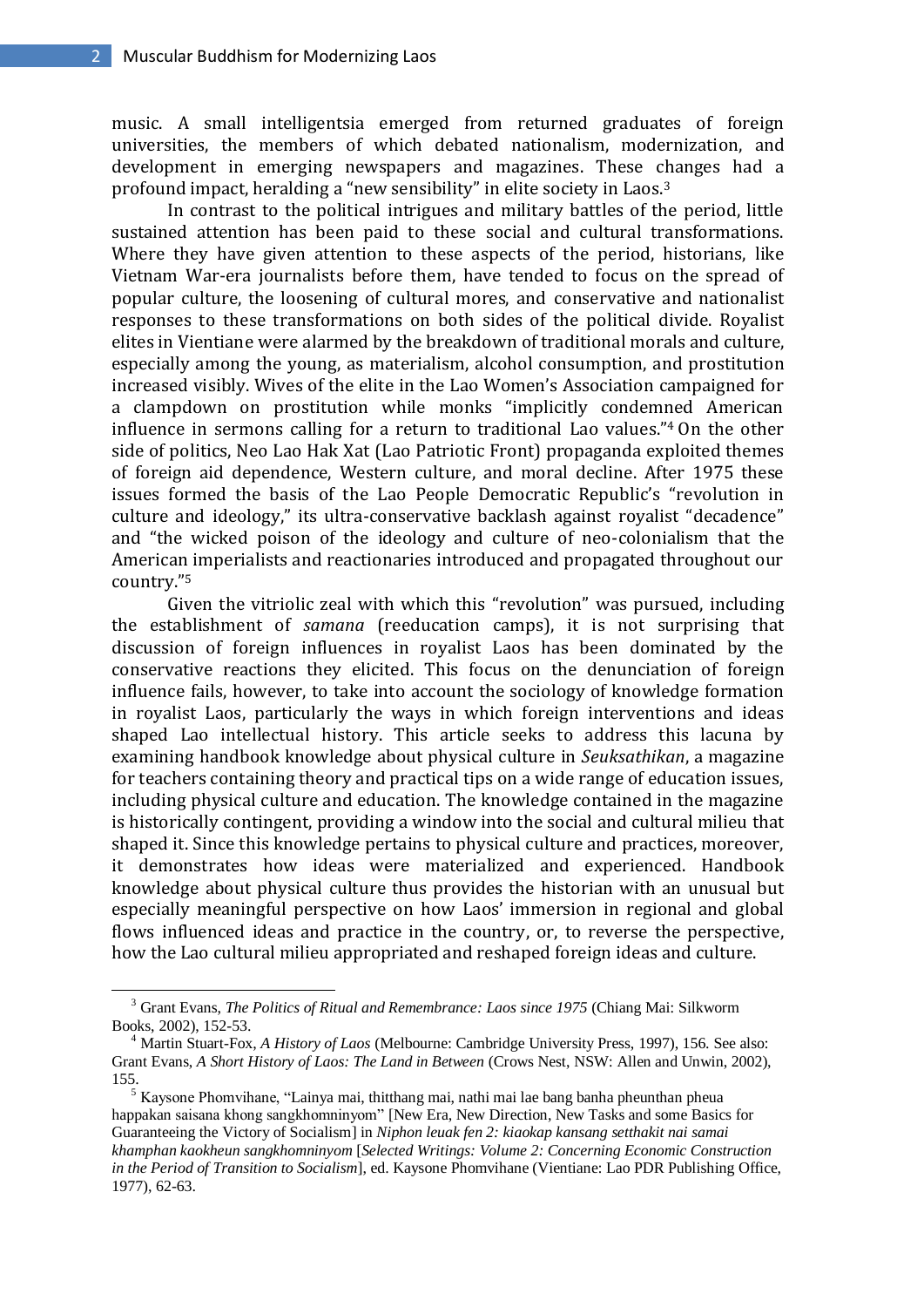music. A small intelligentsia emerged from returned graduates of foreign universities, the members of which debated nationalism, modernization, and development in emerging newspapers and magazines. These changes had a profound impact, heralding a "new sensibility" in elite society in Laos.<sup>3</sup>

In contrast to the political intrigues and military battles of the period, little sustained attention has been paid to these social and cultural transformations. Where they have given attention to these aspects of the period, historians, like Vietnam War-era journalists before them, have tended to focus on the spread of popular culture, the loosening of cultural mores, and conservative and nationalist responses to these transformations on both sides of the political divide. Royalist elites in Vientiane were alarmed by the breakdown of traditional morals and culture, especially among the young, as materialism, alcohol consumption, and prostitution increased visibly. Wives of the elite in the Lao Women's Association campaigned for a clampdown on prostitution while monks "implicitly condemned American influence in sermons calling for a return to traditional Lao values." <sup>4</sup> On the other side of politics, Neo Lao Hak Xat (Lao Patriotic Front) propaganda exploited themes of foreign aid dependence, Western culture, and moral decline. After 1975 these issues formed the basis of the Lao People Democratic Republic's "revolution in culture and ideology," its ultra-conservative backlash against royalist "decadence" and "the wicked poison of the ideology and culture of neo-colonialism that the American imperialists and reactionaries introduced and propagated throughout our country." 5

Given the vitriolic zeal with which this "revolution" was pursued, including the establishment of *samana* (reeducation camps), it is not surprising that discussion of foreign influences in royalist Laos has been dominated by the conservative reactions they elicited. This focus on the denunciation of foreign influence fails, however, to take into account the sociology of knowledge formation in royalist Laos, particularly the ways in which foreign interventions and ideas shaped Lao intellectual history. This article seeks to address this lacuna by examining handbook knowledge about physical culture in *Seuksathikan*, a magazine for teachers containing theory and practical tips on a wide range of education issues, including physical culture and education. The knowledge contained in the magazine is historically contingent, providing a window into the social and cultural milieu that shaped it. Since this knowledge pertains to physical culture and practices, moreover, it demonstrates how ideas were materialized and experienced. Handbook knowledge about physical culture thus provides the historian with an unusual but especially meaningful perspective on how Laos' immersion in regional and global flows influenced ideas and practice in the country, or, to reverse the perspective, how the Lao cultural milieu appropriated and reshaped foreign ideas and culture.

<sup>3</sup> Grant Evans, *The Politics of Ritual and Remembrance: Laos since 1975* (Chiang Mai: Silkworm Books, 2002), 152-53.

<sup>4</sup> Martin Stuart-Fox, *A History of Laos* (Melbourne: Cambridge University Press, 1997), 156. See also: Grant Evans, *A Short History of Laos: The Land in Between* (Crows Nest, NSW: Allen and Unwin, 2002), 155.

<sup>5</sup> Kaysone Phomvihane, "Lainya mai, thitthang mai, nathi mai lae bang banha pheunthan pheua happakan saisana khong sangkhomninyom" [New Era, New Direction, New Tasks and some Basics for Guaranteeing the Victory of Socialism] in *Niphon leuak fen 2: kiaokap kansang setthakit nai samai khamphan kaokheun sangkhomninyom* [*Selected Writings: Volume 2: Concerning Economic Construction in the Period of Transition to Socialism*], ed. Kaysone Phomvihane (Vientiane: Lao PDR Publishing Office, 1977), 62-63.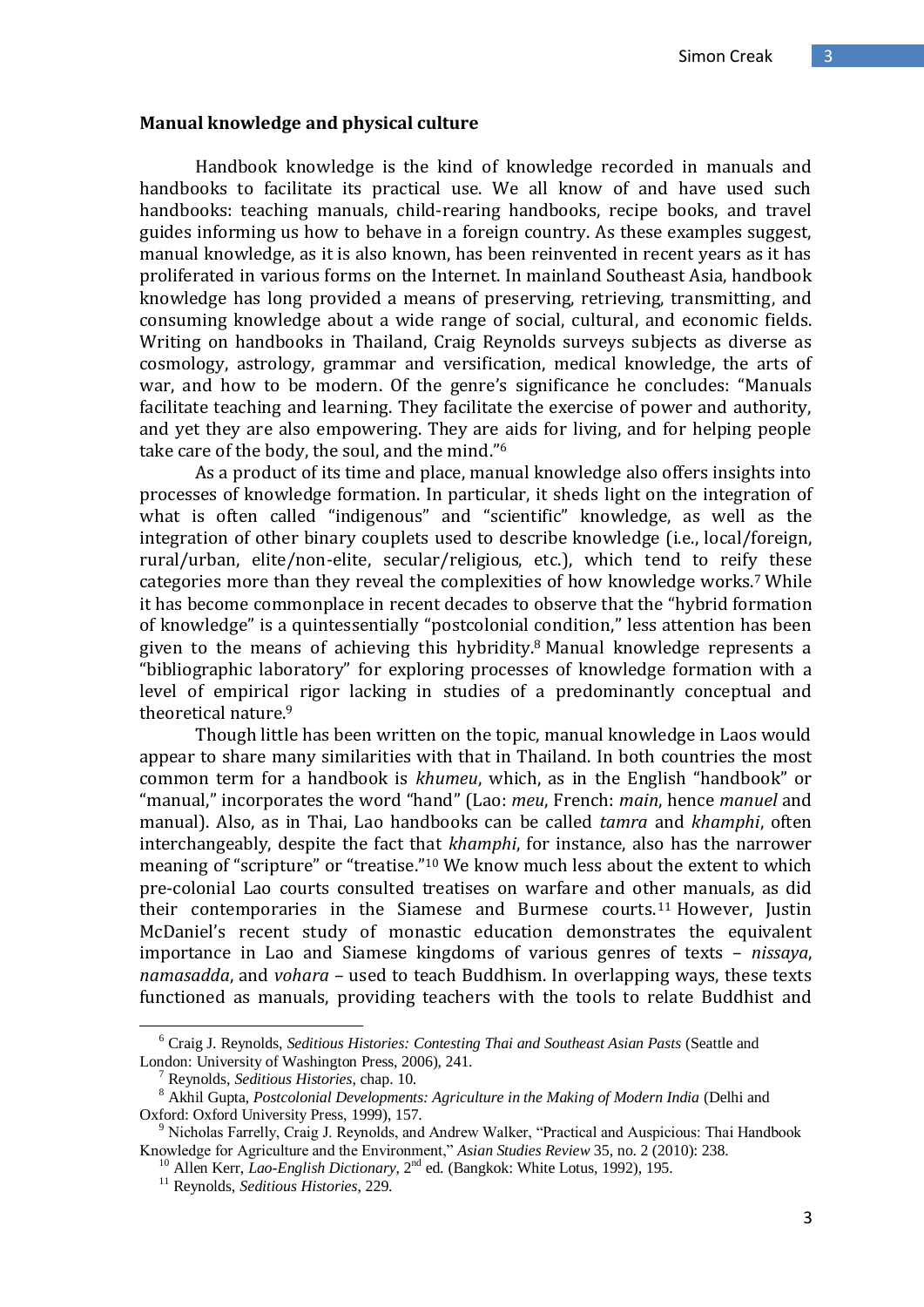#### **Manual knowledge and physical culture**

Handbook knowledge is the kind of knowledge recorded in manuals and handbooks to facilitate its practical use. We all know of and have used such handbooks: teaching manuals, child-rearing handbooks, recipe books, and travel guides informing us how to behave in a foreign country. As these examples suggest, manual knowledge, as it is also known, has been reinvented in recent years as it has proliferated in various forms on the Internet. In mainland Southeast Asia, handbook knowledge has long provided a means of preserving, retrieving, transmitting, and consuming knowledge about a wide range of social, cultural, and economic fields. Writing on handbooks in Thailand, Craig Reynolds surveys subjects as diverse as cosmology, astrology, grammar and versification, medical knowledge, the arts of war, and how to be modern. Of the genre's significance he concludes: "Manuals facilitate teaching and learning. They facilitate the exercise of power and authority, and yet they are also empowering. They are aids for living, and for helping people take care of the body, the soul, and the mind."<sup>6</sup>

As a product of its time and place, manual knowledge also offers insights into processes of knowledge formation. In particular, it sheds light on the integration of what is often called "indigenous" and "scientific" knowledge, as well as the integration of other binary couplets used to describe knowledge (i.e., local/foreign, rural/urban, elite/non-elite, secular/religious, etc.), which tend to reify these categories more than they reveal the complexities of how knowledge works.<sup>7</sup> While it has become commonplace in recent decades to observe that the "hybrid formation of knowledge" is a quintessentially "postcolonial condition," less attention has been given to the means of achieving this hybridity.<sup>8</sup> Manual knowledge represents a "bibliographic laboratory" for exploring processes of knowledge formation with a level of empirical rigor lacking in studies of a predominantly conceptual and theoretical nature.<sup>9</sup>

Though little has been written on the topic, manual knowledge in Laos would appear to share many similarities with that in Thailand. In both countries the most common term for a handbook is *khumeu*, which, as in the English "handbook" or "manual," incorporates the word "hand" (Lao: *meu*, French: *main*, hence *manuel* and manual). Also, as in Thai, Lao handbooks can be called *tamra* and *khamphi*, often interchangeably, despite the fact that *khamphi*, for instance, also has the narrower meaning of "scripture" or "treatise."<sup>10</sup> We know much less about the extent to which pre-colonial Lao courts consulted treatises on warfare and other manuals, as did their contemporaries in the Siamese and Burmese courts. <sup>11</sup> However, Justin McDaniel's recent study of monastic education demonstrates the equivalent importance in Lao and Siamese kingdoms of various genres of texts – *nissaya*, *namasadda*, and *vohara* – used to teach Buddhism. In overlapping ways, these texts functioned as manuals, providing teachers with the tools to relate Buddhist and

<sup>6</sup> Craig J. Reynolds, *Seditious Histories: Contesting Thai and Southeast Asian Pasts* (Seattle and London: University of Washington Press, 2006), 241.

<sup>7</sup> Reynolds, *Seditious Histories*, chap. 10.

<sup>8</sup> Akhil Gupta, *Postcolonial Developments: Agriculture in the Making of Modern India* (Delhi and Oxford: Oxford University Press, 1999), 157.

<sup>9</sup> Nicholas Farrelly, Craig J. Reynolds, and Andrew Walker, "Practical and Auspicious: Thai Handbook Knowledge for Agriculture and the Environment," *Asian Studies Review* 35, no. 2 (2010): 238.

<sup>10</sup> Allen Kerr, *Lao-English Dictionary*, 2nd ed. (Bangkok: White Lotus, 1992), 195.

<sup>11</sup> Reynolds, *Seditious Histories*, 229.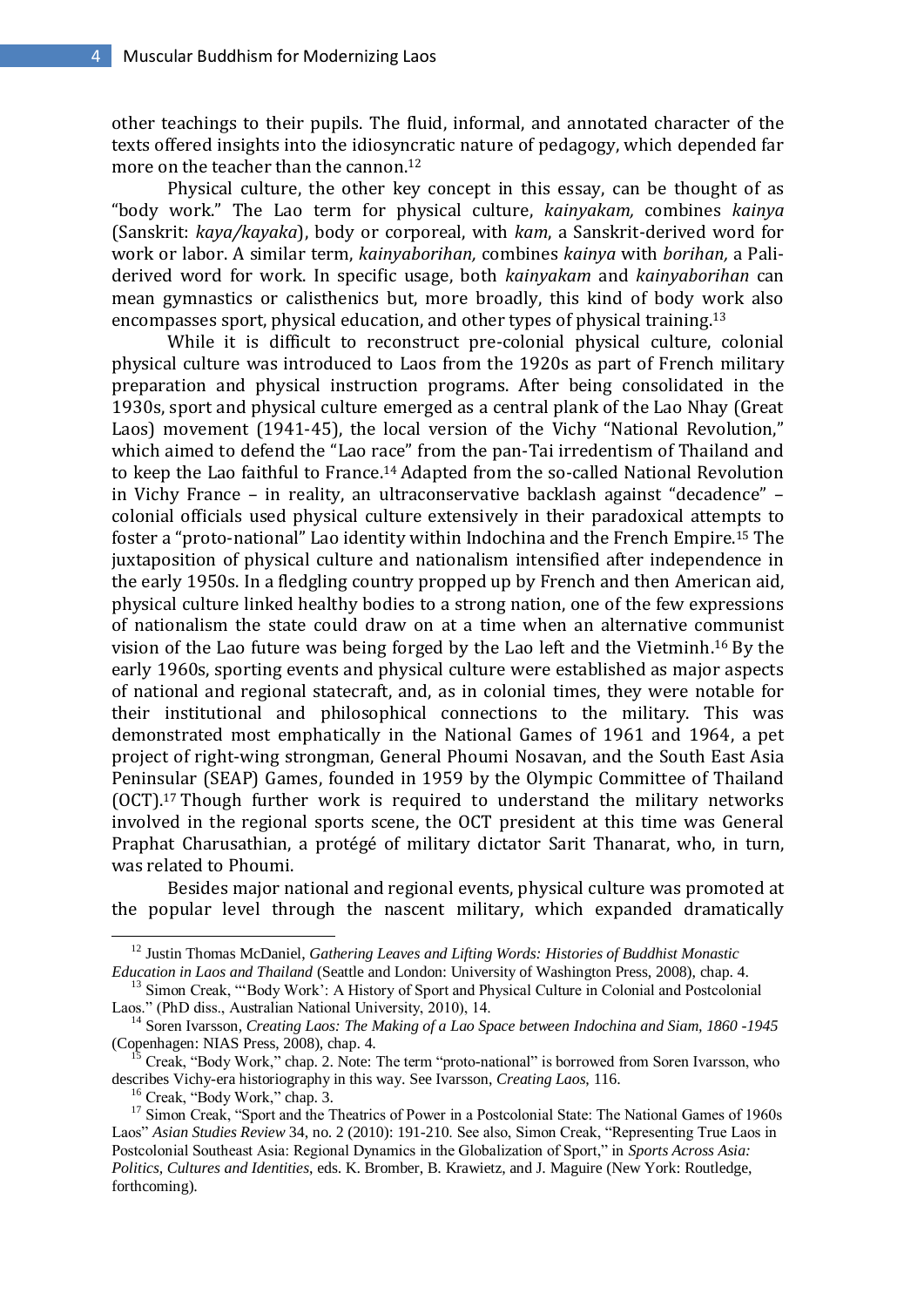other teachings to their pupils. The fluid, informal, and annotated character of the texts offered insights into the idiosyncratic nature of pedagogy, which depended far more on the teacher than the cannon.<sup>12</sup>

Physical culture, the other key concept in this essay, can be thought of as "body work." The Lao term for physical culture, *kainyakam,* combines *kainya* (Sanskrit: *kaya/kayaka*), body or corporeal, with *kam*, a Sanskrit-derived word for work or labor. A similar term, *kainyaborihan,* combines *kainya* with *borihan,* a Paliderived word for work. In specific usage, both *kainyakam* and *kainyaborihan* can mean gymnastics or calisthenics but, more broadly, this kind of body work also encompasses sport, physical education, and other types of physical training.<sup>13</sup>

While it is difficult to reconstruct pre-colonial physical culture, colonial physical culture was introduced to Laos from the 1920s as part of French military preparation and physical instruction programs. After being consolidated in the 1930s, sport and physical culture emerged as a central plank of the Lao Nhay (Great Laos) movement (1941-45), the local version of the Vichy "National Revolution," which aimed to defend the "Lao race" from the pan-Tai irredentism of Thailand and to keep the Lao faithful to France. <sup>14</sup> Adapted from the so-called National Revolution in Vichy France – in reality, an ultraconservative backlash against "decadence" – colonial officials used physical culture extensively in their paradoxical attempts to foster a "proto-national" Lao identity within Indochina and the French Empire. <sup>15</sup> The juxtaposition of physical culture and nationalism intensified after independence in the early 1950s. In a fledgling country propped up by French and then American aid, physical culture linked healthy bodies to a strong nation, one of the few expressions of nationalism the state could draw on at a time when an alternative communist vision of the Lao future was being forged by the Lao left and the Vietminh. <sup>16</sup> By the early 1960s, sporting events and physical culture were established as major aspects of national and regional statecraft, and, as in colonial times, they were notable for their institutional and philosophical connections to the military. This was demonstrated most emphatically in the National Games of 1961 and 1964, a pet project of right-wing strongman, General Phoumi Nosavan, and the South East Asia Peninsular (SEAP) Games, founded in 1959 by the Olympic Committee of Thailand (OCT). <sup>17</sup> Though further work is required to understand the military networks involved in the regional sports scene, the OCT president at this time was General Praphat Charusathian, a protégé of military dictator Sarit Thanarat, who, in turn, was related to Phoumi.

Besides major national and regional events, physical culture was promoted at the popular level through the nascent military, which expanded dramatically

<sup>12</sup> Justin Thomas McDaniel, *Gathering Leaves and Lifting Words: Histories of Buddhist Monastic Education in Laos and Thailand* (Seattle and London: University of Washington Press, 2008), chap. 4.

<sup>&</sup>lt;sup>13</sup> Simon Creak, "Body Work': A History of Sport and Physical Culture in Colonial and Postcolonial Laos." (PhD diss., Australian National University, 2010), 14.

<sup>&</sup>lt;sup>14</sup> Soren Ivarsson, *Creating Laos: The Making of a Lao Space between Indochina and Siam, 1860 -1945* (Copenhagen: NIAS Press, 2008), chap. 4.

<sup>15</sup> Creak, "Body Work," chap. 2. Note: The term "proto-national" is borrowed from Soren Ivarsson, who describes Vichy-era historiography in this way. See Ivarsson, *Creating Laos*, 116.

<sup>16</sup> Creak, "Body Work," chap. 3.

<sup>&</sup>lt;sup>17</sup> Simon Creak, "Sport and the Theatrics of Power in a Postcolonial State: The National Games of 1960s Laos" *Asian Studies Review* 34, no. 2 (2010): 191-210. See also, Simon Creak, "Representing True Laos in Postcolonial Southeast Asia: Regional Dynamics in the Globalization of Sport," in *Sports Across Asia: Politics, Cultures and Identities*, eds. K. Bromber, B. Krawietz, and J. Maguire (New York: Routledge, forthcoming).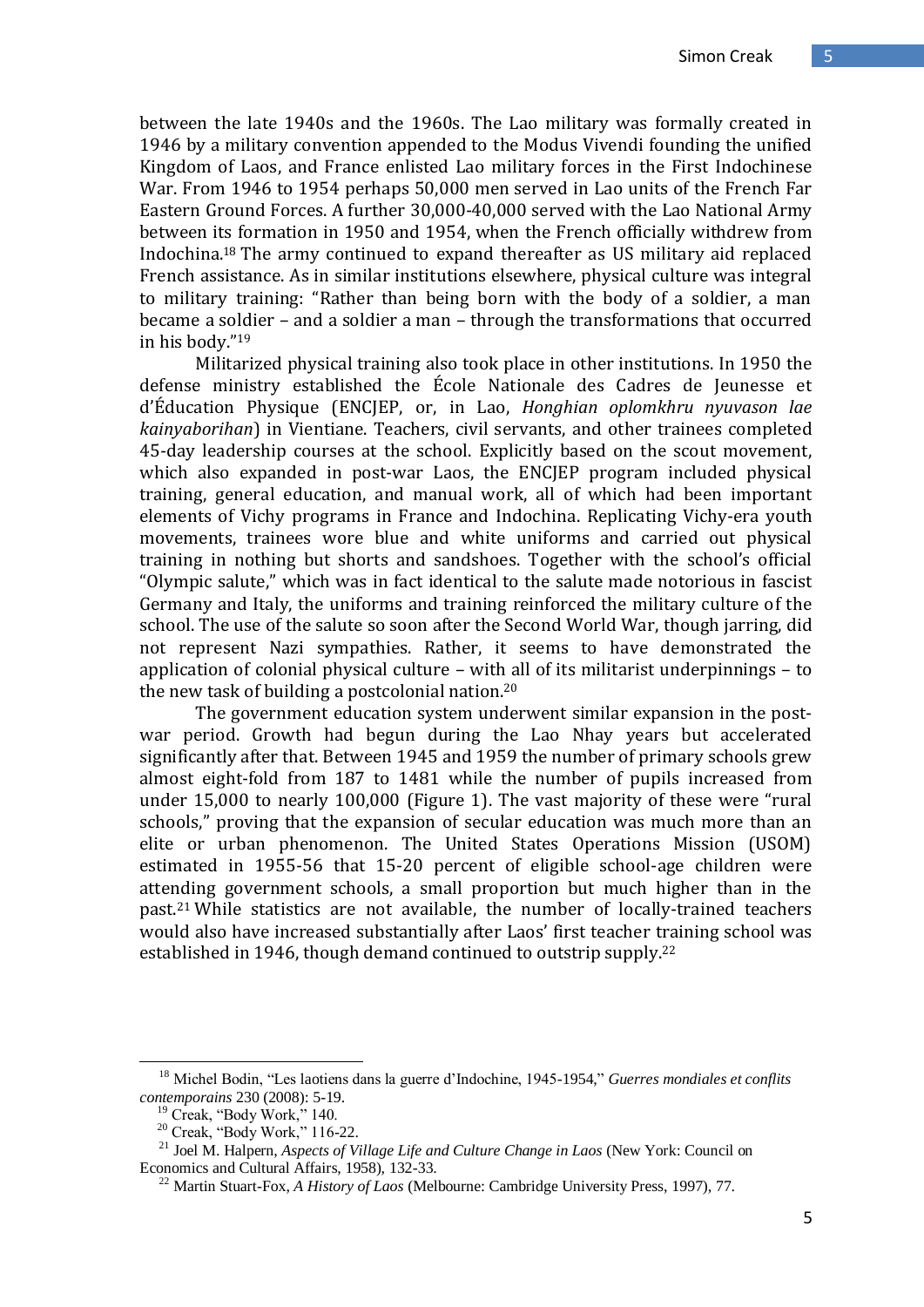between the late 1940s and the 1960s. The Lao military was formally created in 1946 by a military convention appended to the Modus Vivendi founding the unified Kingdom of Laos, and France enlisted Lao military forces in the First Indochinese War. From 1946 to 1954 perhaps 50,000 men served in Lao units of the French Far Eastern Ground Forces. A further 30,000-40,000 served with the Lao National Army between its formation in 1950 and 1954, when the French officially withdrew from Indochina. <sup>18</sup> The army continued to expand thereafter as US military aid replaced French assistance. As in similar institutions elsewhere, physical culture was integral to military training: "Rather than being born with the body of a soldier, a man became a soldier – and a soldier a man – through the transformations that occurred in his body." 19

Militarized physical training also took place in other institutions. In 1950 the defense ministry established the École Nationale des Cadres de Jeunesse et d'Éducation Physique (ENCJEP, or, in Lao, *Honghian oplomkhru nyuvason lae kainyaborihan*) in Vientiane. Teachers, civil servants, and other trainees completed 45-day leadership courses at the school. Explicitly based on the scout movement, which also expanded in post-war Laos, the ENCJEP program included physical training, general education, and manual work, all of which had been important elements of Vichy programs in France and Indochina. Replicating Vichy-era youth movements, trainees wore blue and white uniforms and carried out physical training in nothing but shorts and sandshoes. Together with the school's official "Olympic salute," which was in fact identical to the salute made notorious in fascist Germany and Italy, the uniforms and training reinforced the military culture of the school. The use of the salute so soon after the Second World War, though jarring, did not represent Nazi sympathies. Rather, it seems to have demonstrated the application of colonial physical culture – with all of its militarist underpinnings – to the new task of building a postcolonial nation.<sup>20</sup>

The government education system underwent similar expansion in the postwar period. Growth had begun during the Lao Nhay years but accelerated significantly after that. Between 1945 and 1959 the number of primary schools grew almost eight-fold from 187 to 1481 while the number of pupils increased from under 15,000 to nearly 100,000 (Figure 1). The vast majority of these were "rural schools," proving that the expansion of secular education was much more than an elite or urban phenomenon. The United States Operations Mission (USOM) estimated in 1955-56 that 15-20 percent of eligible school-age children were attending government schools, a small proportion but much higher than in the past.<sup>21</sup> While statistics are not available, the number of locally-trained teachers would also have increased substantially after Laos' first teacher training school was established in 1946, though demand continued to outstrip supply.<sup>22</sup>

<sup>18</sup> Michel Bodin, "Les laotiens dans la guerre d"Indochine, 1945-1954," *Guerres mondiales et conflits contemporains* 230 (2008): 5-19.

<sup>&</sup>lt;sup>19</sup> Creak, "Body Work," 140.

<sup>20</sup> Creak, "Body Work," 116-22.

<sup>21</sup> Joel M. Halpern, *Aspects of Village Life and Culture Change in Laos* (New York: Council on Economics and Cultural Affairs, 1958), 132-33.

<sup>22</sup> Martin Stuart-Fox, *A History of Laos* (Melbourne: Cambridge University Press, 1997), 77.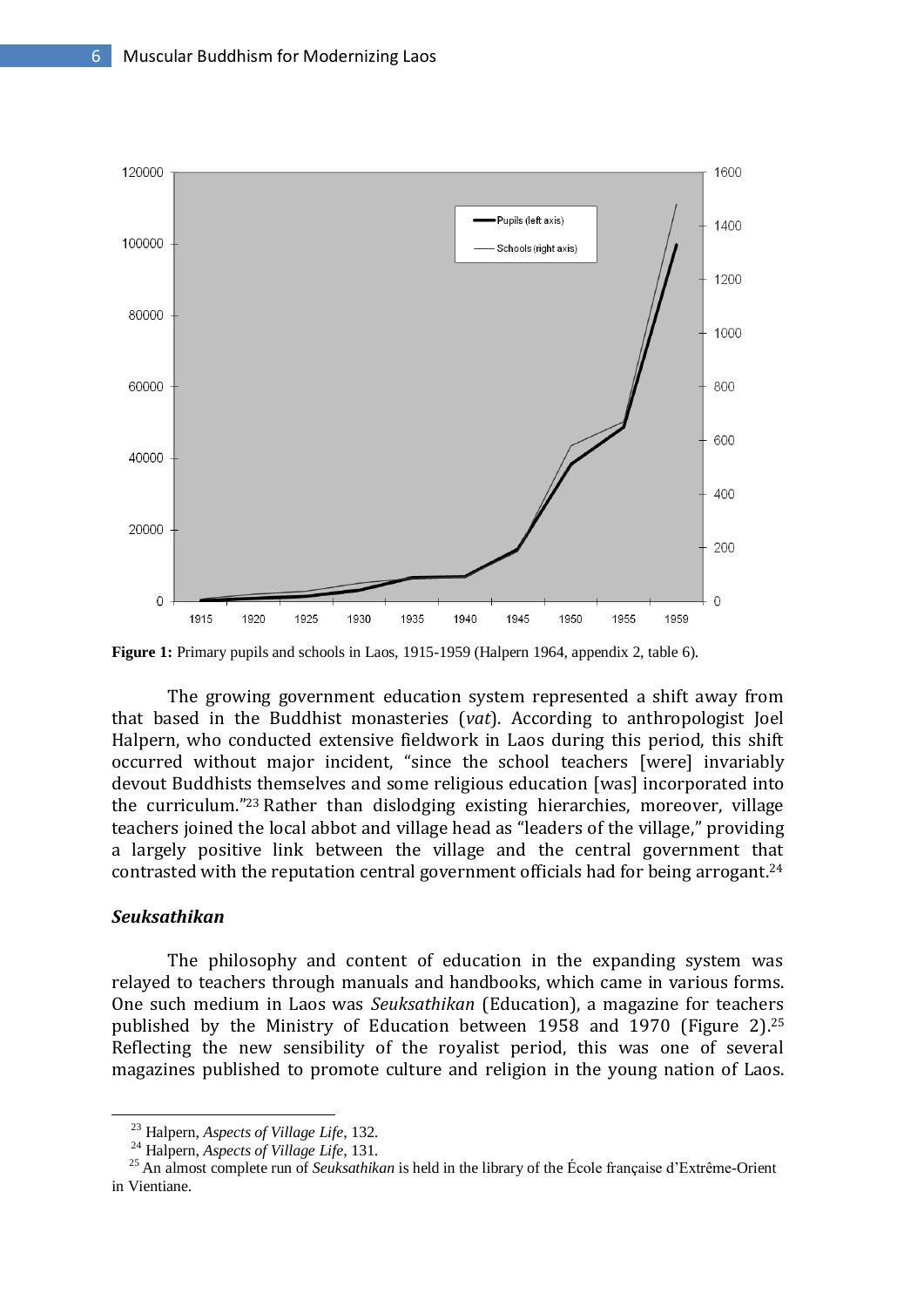

**Figure 1:** Primary pupils and schools in Laos, 1915-1959 (Halpern 1964, appendix 2, table 6).

The growing government education system represented a shift away from that based in the Buddhist monasteries (*vat*). According to anthropologist Joel Halpern, who conducted extensive fieldwork in Laos during this period, this shift occurred without major incident, "since the school teachers [were] invariably devout Buddhists themselves and some religious education [was] incorporated into the curriculum." <sup>23</sup> Rather than dislodging existing hierarchies, moreover, village teachers joined the local abbot and village head as "leaders of the village," providing a largely positive link between the village and the central government that contrasted with the reputation central government officials had for being arrogant. 24

## *Seuksathikan*

-

The philosophy and content of education in the expanding system was relayed to teachers through manuals and handbooks, which came in various forms. One such medium in Laos was *Seuksathikan* (Education), a magazine for teachers published by the Ministry of Education between 1958 and 1970 (Figure 2). 25 Reflecting the new sensibility of the royalist period, this was one of several magazines published to promote culture and religion in the young nation of Laos.

<sup>23</sup> Halpern, *Aspects of Village Life*, 132.

<sup>24</sup> Halpern, *Aspects of Village Life*, 131.

<sup>&</sup>lt;sup>25</sup> An almost complete run of *Seuksathikan* is held in the library of the École française d'Extrême-Orient in Vientiane.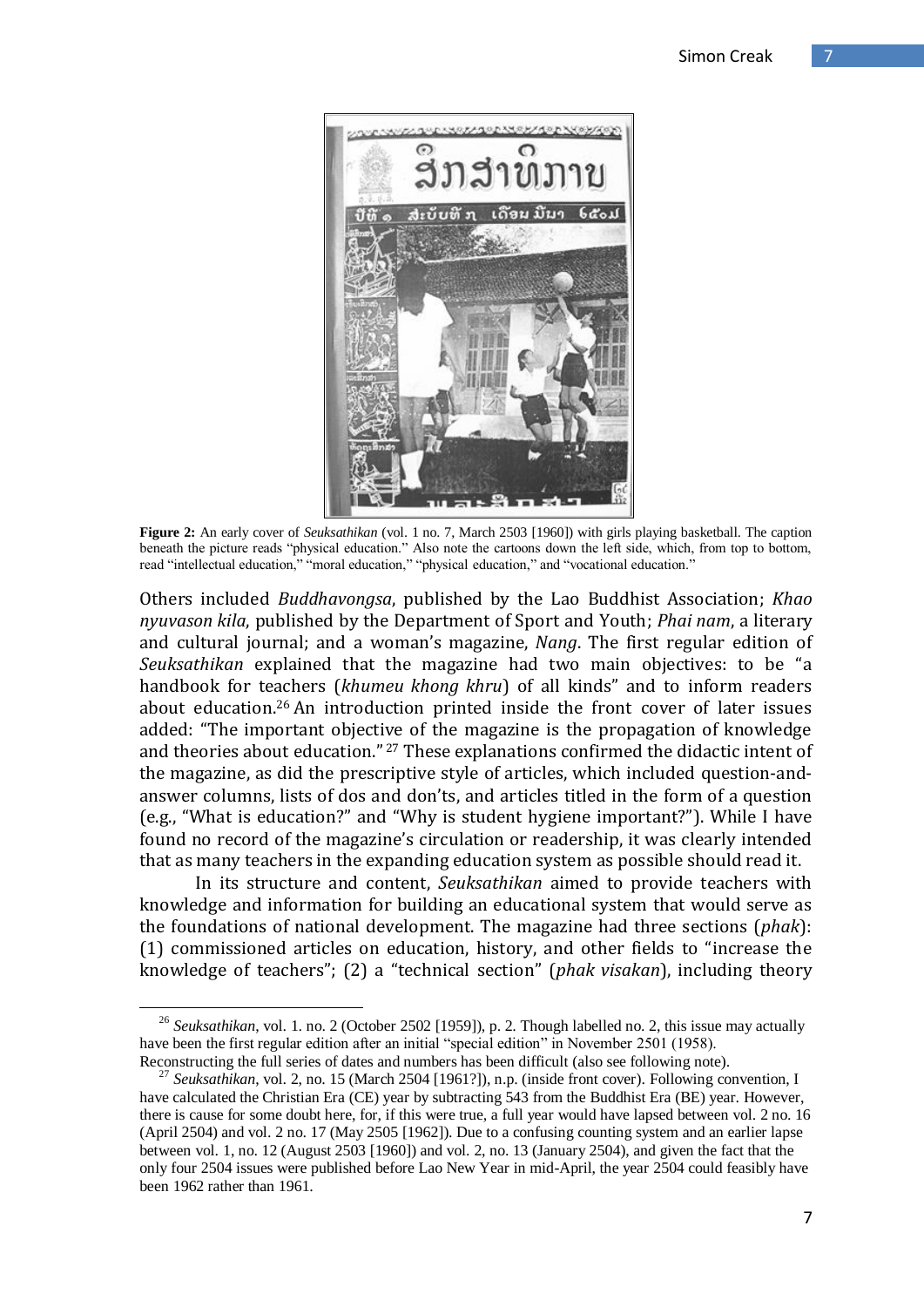

**Figure 2:** An early cover of *Seuksathikan* (vol. 1 no. 7, March 2503 [1960]) with girls playing basketball. The caption beneath the picture reads "physical education." Also note the cartoons down the left side, which, from top to bottom, read "intellectual education," "moral education," "physical education," and "vocational education."

Others included *Buddhavongsa*, published by the Lao Buddhist Association; *Khao nyuvason kila*, published by the Department of Sport and Youth; *Phai nam*, a literary and cultural journal; and a woman's magazine, *Nang*. The first regular edition of *Seuksathikan* explained that the magazine had two main objectives: to be "a handbook for teachers (*khumeu khong khru*) of all kinds" and to inform readers about education.<sup>26</sup> An introduction printed inside the front cover of later issues added: "The important objective of the magazine is the propagation of knowledge and theories about education." <sup>27</sup> These explanations confirmed the didactic intent of the magazine, as did the prescriptive style of articles, which included question-andanswer columns, lists of dos and don'ts, and articles titled in the form of a question (e.g., "What is education?" and "Why is student hygiene important?"). While I have found no record of the magazine's circulation or readership, it was clearly intended that as many teachers in the expanding education system as possible should read it.

In its structure and content, *Seuksathikan* aimed to provide teachers with knowledge and information for building an educational system that would serve as the foundations of national development. The magazine had three sections (*phak*): (1) commissioned articles on education, history, and other fields to "increase the knowledge of teachers"; (2) a "technical section" (*phak visakan*), including theory

<sup>&</sup>lt;sup>26</sup> Seuksathikan, vol. 1. no. 2 (October 2502 [1959]), p. 2. Though labelled no. 2, this issue may actually have been the first regular edition after an initial "special edition" in November 2501 (1958). Reconstructing the full series of dates and numbers has been difficult (also see following note).

<sup>27</sup> *Seuksathikan*, vol. 2, no. 15 (March 2504 [1961?]), n.p. (inside front cover). Following convention, I have calculated the Christian Era (CE) year by subtracting 543 from the Buddhist Era (BE) year. However, there is cause for some doubt here, for, if this were true, a full year would have lapsed between vol. 2 no. 16 (April 2504) and vol. 2 no. 17 (May 2505 [1962]). Due to a confusing counting system and an earlier lapse between vol. 1, no. 12 (August 2503 [1960]) and vol. 2, no. 13 (January 2504), and given the fact that the only four 2504 issues were published before Lao New Year in mid-April, the year 2504 could feasibly have been 1962 rather than 1961.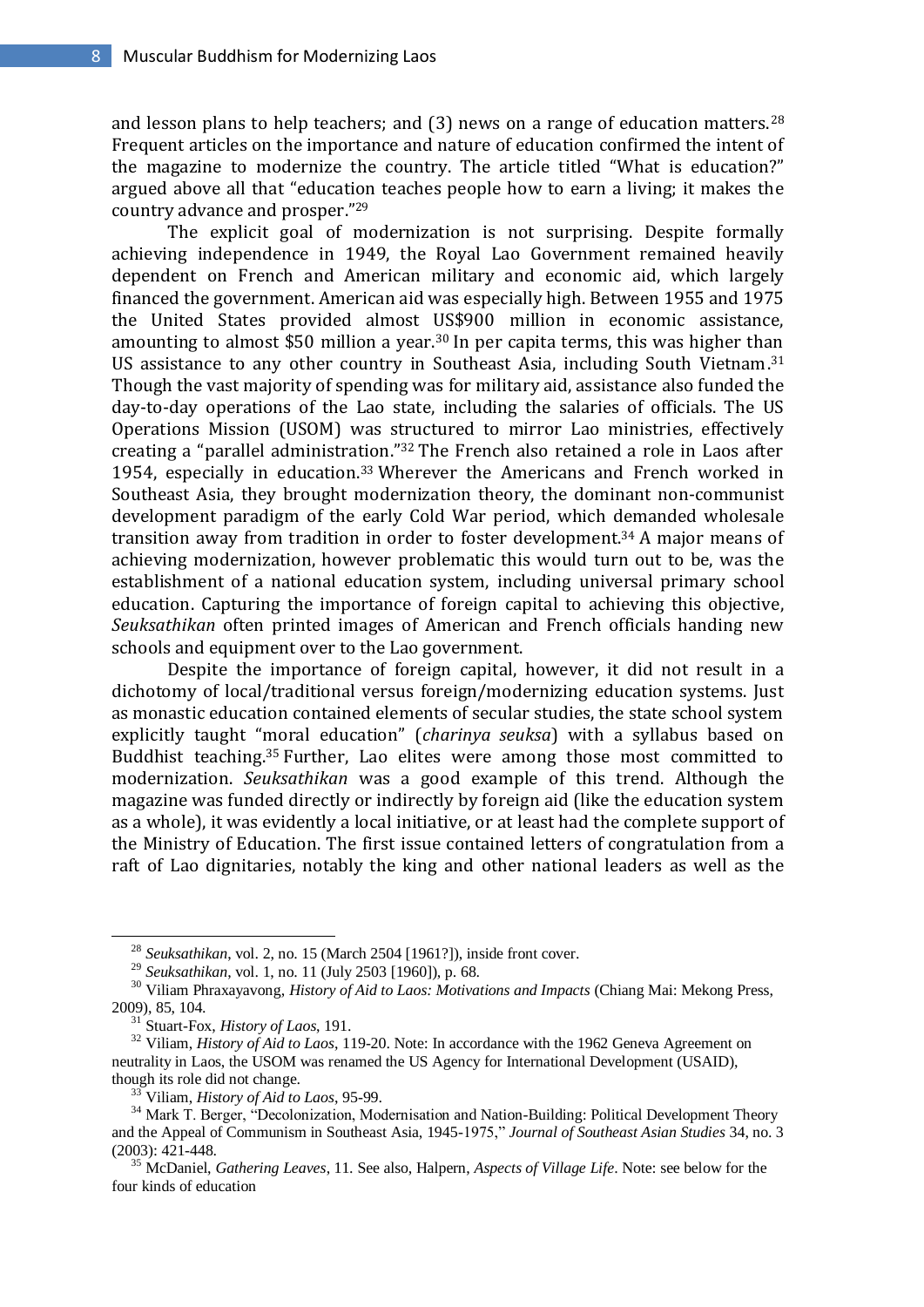and lesson plans to help teachers; and (3) news on a range of education matters.<sup>28</sup> Frequent articles on the importance and nature of education confirmed the intent of the magazine to modernize the country. The article titled "What is education?" argued above all that "education teaches people how to earn a living; it makes the country advance and prosper." 29

The explicit goal of modernization is not surprising. Despite formally achieving independence in 1949, the Royal Lao Government remained heavily dependent on French and American military and economic aid, which largely financed the government. American aid was especially high. Between 1955 and 1975 the United States provided almost US\$900 million in economic assistance, amounting to almost \$50 million a year.<sup>30</sup> In per capita terms, this was higher than US assistance to any other country in Southeast Asia, including South Vietnam.<sup>31</sup> Though the vast majority of spending was for military aid, assistance also funded the day-to-day operations of the Lao state, including the salaries of officials. The US Operations Mission (USOM) was structured to mirror Lao ministries, effectively creating a "parallel administration." <sup>32</sup> The French also retained a role in Laos after 1954, especially in education.<sup>33</sup> Wherever the Americans and French worked in Southeast Asia, they brought modernization theory, the dominant non-communist development paradigm of the early Cold War period, which demanded wholesale transition away from tradition in order to foster development. <sup>34</sup> A major means of achieving modernization, however problematic this would turn out to be, was the establishment of a national education system, including universal primary school education. Capturing the importance of foreign capital to achieving this objective, *Seuksathikan* often printed images of American and French officials handing new schools and equipment over to the Lao government.

Despite the importance of foreign capital, however, it did not result in a dichotomy of local/traditional versus foreign/modernizing education systems. Just as monastic education contained elements of secular studies, the state school system explicitly taught "moral education" (*charinya seuksa*) with a syllabus based on Buddhist teaching.<sup>35</sup> Further, Lao elites were among those most committed to modernization. *Seuksathikan* was a good example of this trend. Although the magazine was funded directly or indirectly by foreign aid (like the education system as a whole), it was evidently a local initiative, or at least had the complete support of the Ministry of Education. The first issue contained letters of congratulation from a raft of Lao dignitaries, notably the king and other national leaders as well as the

<sup>28</sup> *Seuksathikan*, vol. 2, no. 15 (March 2504 [1961?]), inside front cover.

<sup>29</sup> *Seuksathikan*, vol. 1, no. 11 (July 2503 [1960]), p. 68.

<sup>30</sup> Viliam Phraxayavong, *History of Aid to Laos: Motivations and Impacts* (Chiang Mai: Mekong Press, 2009), 85, 104.

<sup>31</sup> Stuart-Fox, *History of Laos*, 191.

<sup>&</sup>lt;sup>32</sup> Viliam, *History of Aid to Laos*, 119-20. Note: In accordance with the 1962 Geneva Agreement on neutrality in Laos, the USOM was renamed the US Agency for International Development (USAID), though its role did not change.

<sup>33</sup> Viliam, *History of Aid to Laos*, 95-99.

<sup>&</sup>lt;sup>34</sup> Mark T. Berger, "Decolonization, Modernisation and Nation-Building: Political Development Theory and the Appeal of Communism in Southeast Asia, 1945-1975," *Journal of Southeast Asian Studies* 34, no. 3 (2003): 421-448.

<sup>35</sup> McDaniel, *Gathering Leaves*, 11. See also, Halpern, *Aspects of Village Life*. Note: see below for the four kinds of education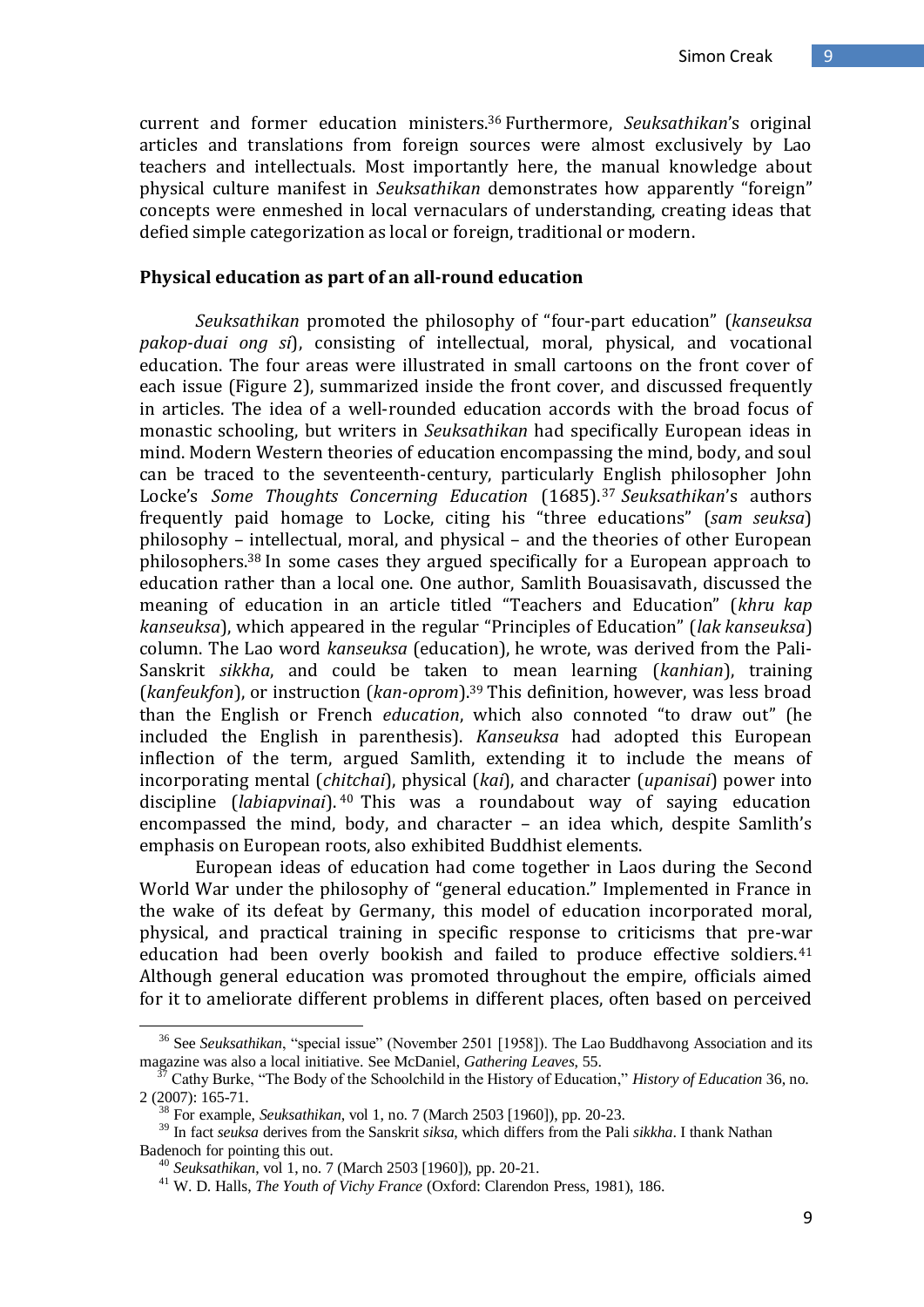current and former education ministers.<sup>36</sup> Furthermore, *Seuksathikan*'s original articles and translations from foreign sources were almost exclusively by Lao teachers and intellectuals. Most importantly here, the manual knowledge about physical culture manifest in *Seuksathikan* demonstrates how apparently "foreign" concepts were enmeshed in local vernaculars of understanding, creating ideas that defied simple categorization as local or foreign, traditional or modern.

#### **Physical education as part of an all-round education**

*Seuksathikan* promoted the philosophy of "four-part education" (*kanseuksa pakop-duai ong si*), consisting of intellectual, moral, physical, and vocational education. The four areas were illustrated in small cartoons on the front cover of each issue (Figure 2), summarized inside the front cover, and discussed frequently in articles. The idea of a well-rounded education accords with the broad focus of monastic schooling, but writers in *Seuksathikan* had specifically European ideas in mind. Modern Western theories of education encompassing the mind, body, and soul can be traced to the seventeenth-century, particularly English philosopher John Locke's *Some Thoughts Concerning Education* (1685).<sup>37</sup> *Seuksathikan*'s authors frequently paid homage to Locke, citing his "three educations" (*sam seuksa*) philosophy – intellectual, moral, and physical – and the theories of other European philosophers. <sup>38</sup> In some cases they argued specifically for a European approach to education rather than a local one. One author, Samlith Bouasisavath, discussed the meaning of education in an article titled "Teachers and Education" (*khru kap kanseuksa*), which appeared in the regular "Principles of Education" (*lak kanseuksa*) column. The Lao word *kanseuksa* (education), he wrote, was derived from the Pali-Sanskrit *sikkha*, and could be taken to mean learning (*kanhian*), training (*kanfeukfon*), or instruction (*kan-oprom*).<sup>39</sup> This definition, however, was less broad than the English or French *education*, which also connoted "to draw out" (he included the English in parenthesis). *Kanseuksa* had adopted this European inflection of the term, argued Samlith, extending it to include the means of incorporating mental (*chitchai*), physical (*kai*), and character (*upanisai*) power into discipline (*labiapvinai*). <sup>40</sup> This was a roundabout way of saying education encompassed the mind, body, and character – an idea which, despite Samlith's emphasis on European roots, also exhibited Buddhist elements.

European ideas of education had come together in Laos during the Second World War under the philosophy of "general education." Implemented in France in the wake of its defeat by Germany, this model of education incorporated moral, physical, and practical training in specific response to criticisms that pre-war education had been overly bookish and failed to produce effective soldiers.<sup>41</sup> Although general education was promoted throughout the empire, officials aimed for it to ameliorate different problems in different places, often based on perceived

<sup>&</sup>lt;sup>36</sup> See *Seuksathikan*, "special issue" (November 2501 [1958]). The Lao Buddhavong Association and its magazine was also a local initiative. See McDaniel, *Gathering Leaves*, 55.

<sup>37</sup> Cathy Burke, "The Body of the Schoolchild in the History of Education," *History of Education* 36, no. 2 (2007): 165-71.

<sup>38</sup> For example, *Seuksathikan*, vol 1, no. 7 (March 2503 [1960]), pp. 20-23.

<sup>39</sup> In fact *seuksa* derives from the Sanskrit *siksa*, which differs from the Pali *sikkha*. I thank Nathan Badenoch for pointing this out.

<sup>40</sup> *Seuksathikan*, vol 1, no. 7 (March 2503 [1960]), pp. 20-21.

<sup>41</sup> W. D. Halls, *The Youth of Vichy France* (Oxford: Clarendon Press, 1981), 186.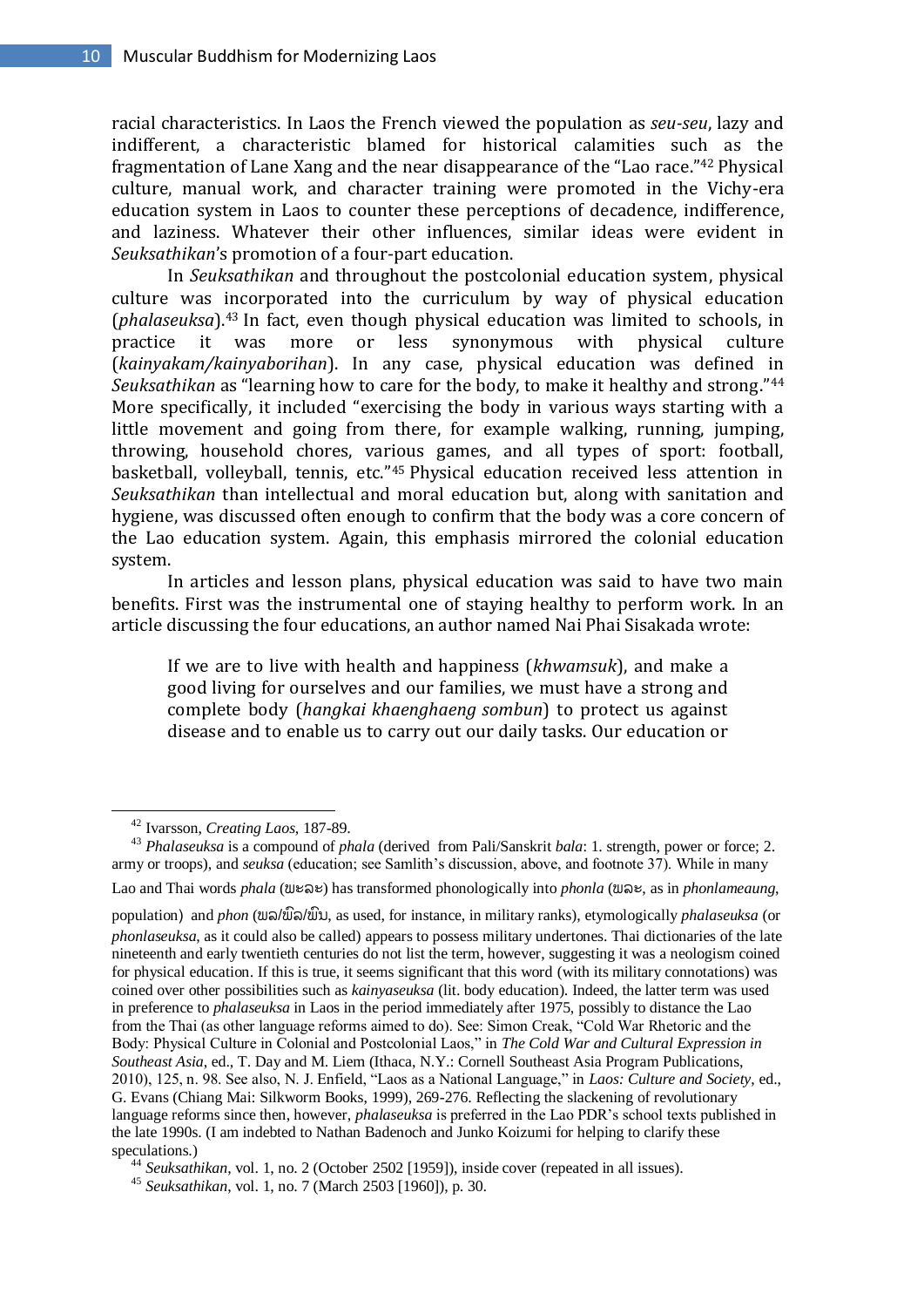racial characteristics. In Laos the French viewed the population as *seu-seu*, lazy and indifferent, a characteristic blamed for historical calamities such as the fragmentation of Lane Xang and the near disappearance of the "Lao race." <sup>42</sup> Physical culture, manual work, and character training were promoted in the Vichy-era education system in Laos to counter these perceptions of decadence, indifference, and laziness. Whatever their other influences, similar ideas were evident in *Seuksathikan*'s promotion of a four-part education.

In *Seuksathikan* and throughout the postcolonial education system, physical culture was incorporated into the curriculum by way of physical education (*phalaseuksa*).<sup>43</sup> In fact, even though physical education was limited to schools, in practice it was more or less synonymous with physical culture (*kainyakam/kainyaborihan*). In any case, physical education was defined in *Seuksathikan* as "learning how to care for the body, to make it healthy and strong." 44 More specifically, it included "exercising the body in various ways starting with a little movement and going from there, for example walking, running, jumping, throwing, household chores, various games, and all types of sport: football, basketball, volleyball, tennis, etc." <sup>45</sup> Physical education received less attention in *Seuksathikan* than intellectual and moral education but, along with sanitation and hygiene, was discussed often enough to confirm that the body was a core concern of the Lao education system. Again, this emphasis mirrored the colonial education system.

In articles and lesson plans, physical education was said to have two main benefits. First was the instrumental one of staying healthy to perform work. In an article discussing the four educations, an author named Nai Phai Sisakada wrote:

If we are to live with health and happiness (*khwamsuk*), and make a good living for ourselves and our families, we must have a strong and complete body (*hangkai khaenghaeng sombun*) to protect us against disease and to enable us to carry out our daily tasks. Our education or

-

Lao and Thai words *phala* (ພະລະ) has transformed phonologically into *phonla* (ພລະ, as in *phonlameaung*,

population) and *phon* (ພລ/ພລົ/ພນົ, as used, for instance, in military ranks), etymologically *phalaseuksa* (or *phonlaseuksa*, as it could also be called) appears to possess military undertones. Thai dictionaries of the late nineteenth and early twentieth centuries do not list the term, however, suggesting it was a neologism coined for physical education. If this is true, it seems significant that this word (with its military connotations) was coined over other possibilities such as *kainyaseuksa* (lit. body education). Indeed, the latter term was used in preference to *phalaseuksa* in Laos in the period immediately after 1975, possibly to distance the Lao from the Thai (as other language reforms aimed to do). See: Simon Creak, "Cold War Rhetoric and the Body: Physical Culture in Colonial and Postcolonial Laos," in *The Cold War and Cultural Expression in Southeast Asia*, ed., T. Day and M. Liem (Ithaca, N.Y.: Cornell Southeast Asia Program Publications, 2010), 125, n. 98. See also, N. J. Enfield, "Laos as a National Language," in *Laos: Culture and Society*, ed., G. Evans (Chiang Mai: Silkworm Books, 1999), 269-276. Reflecting the slackening of revolutionary language reforms since then, however, *phalaseuksa* is preferred in the Lao PDR"s school texts published in the late 1990s. (I am indebted to Nathan Badenoch and Junko Koizumi for helping to clarify these speculations.)

<sup>44</sup> *Seuksathikan*, vol. 1, no. 2 (October 2502 [1959]), inside cover (repeated in all issues).

<sup>42</sup> Ivarsson, *Creating Laos*, 187-89.

<sup>43</sup> *Phalaseuksa* is a compound of *phala* (derived from Pali/Sanskrit *bala*: 1. strength, power or force; 2. army or troops), and *seuksa* (education; see Samlith"s discussion, above, and footnote 37). While in many

<sup>45</sup> *Seuksathikan*, vol. 1, no. 7 (March 2503 [1960]), p. 30.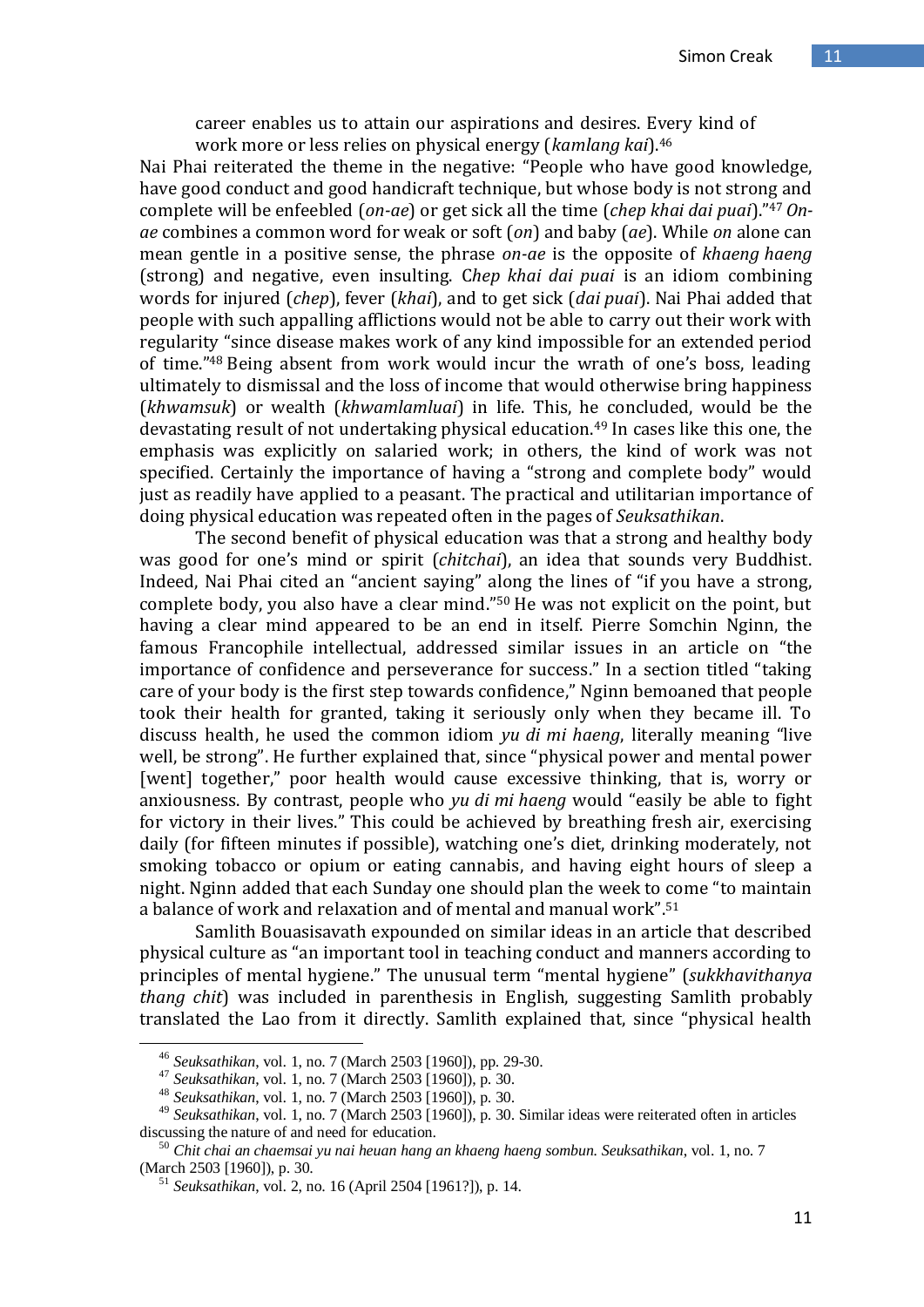career enables us to attain our aspirations and desires. Every kind of work more or less relies on physical energy (*kamlang kai*).<sup>46</sup>

Nai Phai reiterated the theme in the negative: "People who have good knowledge, have good conduct and good handicraft technique, but whose body is not strong and complete will be enfeebled (*on-ae*) or get sick all the time (*chep khai dai puai*)." <sup>47</sup> *Onae* combines a common word for weak or soft (*on*) and baby (*ae*). While *on* alone can mean gentle in a positive sense, the phrase *on-ae* is the opposite of *khaeng haeng* (strong) and negative, even insulting. C*hep khai dai puai* is an idiom combining words for injured (*chep*), fever (*khai*), and to get sick (*dai puai*). Nai Phai added that people with such appalling afflictions would not be able to carry out their work with regularity "since disease makes work of any kind impossible for an extended period of time." <sup>48</sup> Being absent from work would incur the wrath of one's boss, leading ultimately to dismissal and the loss of income that would otherwise bring happiness (*khwamsuk*) or wealth (*khwamlamluai*) in life. This, he concluded, would be the devastating result of not undertaking physical education.<sup>49</sup> In cases like this one, the emphasis was explicitly on salaried work; in others, the kind of work was not specified. Certainly the importance of having a "strong and complete body" would just as readily have applied to a peasant. The practical and utilitarian importance of doing physical education was repeated often in the pages of *Seuksathikan*.

The second benefit of physical education was that a strong and healthy body was good for one's mind or spirit (*chitchai*), an idea that sounds very Buddhist. Indeed, Nai Phai cited an "ancient saying" along the lines of "if you have a strong, complete body, you also have a clear mind." <sup>50</sup> He was not explicit on the point, but having a clear mind appeared to be an end in itself. Pierre Somchin Nginn, the famous Francophile intellectual, addressed similar issues in an article on "the importance of confidence and perseverance for success." In a section titled "taking care of your body is the first step towards confidence," Nginn bemoaned that people took their health for granted, taking it seriously only when they became ill. To discuss health, he used the common idiom *yu di mi haeng*, literally meaning "live well, be strong". He further explained that, since "physical power and mental power [went] together," poor health would cause excessive thinking, that is, worry or anxiousness. By contrast, people who *yu di mi haeng* would "easily be able to fight for victory in their lives." This could be achieved by breathing fresh air, exercising daily (for fifteen minutes if possible), watching one's diet, drinking moderately, not smoking tobacco or opium or eating cannabis, and having eight hours of sleep a night. Nginn added that each Sunday one should plan the week to come "to maintain a balance of work and relaxation and of mental and manual work". 51

Samlith Bouasisavath expounded on similar ideas in an article that described physical culture as "an important tool in teaching conduct and manners according to principles of mental hygiene." The unusual term "mental hygiene" (*sukkhavithanya thang chit*) was included in parenthesis in English, suggesting Samlith probably translated the Lao from it directly. Samlith explained that, since "physical health

<u>.</u>

<sup>46</sup> *Seuksathikan*, vol. 1, no. 7 (March 2503 [1960]), pp. 29-30.

<sup>47</sup> *Seuksathikan*, vol. 1, no. 7 (March 2503 [1960]), p. 30.

<sup>48</sup> *Seuksathikan*, vol. 1, no. 7 (March 2503 [1960]), p. 30.

<sup>49</sup> *Seuksathikan*, vol. 1, no. 7 (March 2503 [1960]), p. 30. Similar ideas were reiterated often in articles discussing the nature of and need for education.

<sup>50</sup> *Chit chai an chaemsai yu nai heuan hang an khaeng haeng sombun. Seuksathikan*, vol. 1, no. 7 (March 2503 [1960]), p. 30.

<sup>51</sup> *Seuksathikan*, vol. 2, no. 16 (April 2504 [1961?]), p. 14.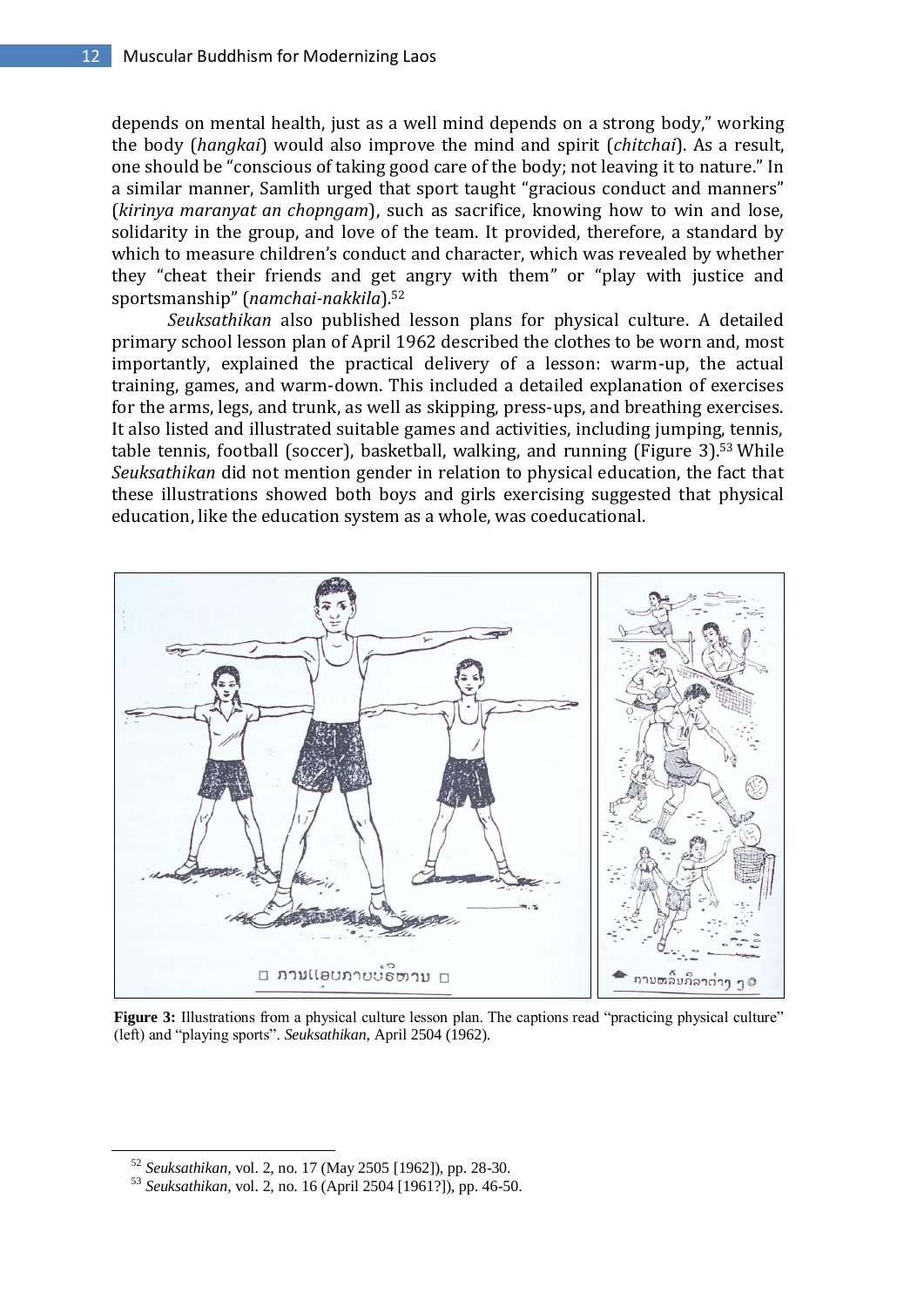depends on mental health, just as a well mind depends on a strong body," working the body (*hangkai*) would also improve the mind and spirit (*chitchai*). As a result, one should be "conscious of taking good care of the body; not leaving it to nature." In a similar manner, Samlith urged that sport taught "gracious conduct and manners" (*kirinya maranyat an chopngam*), such as sacrifice, knowing how to win and lose, solidarity in the group, and love of the team. It provided, therefore, a standard by which to measure children's conduct and character, which was revealed by whether they "cheat their friends and get angry with them" or "play with justice and sportsmanship" (*namchai-nakkila*). 52

*Seuksathikan* also published lesson plans for physical culture. A detailed primary school lesson plan of April 1962 described the clothes to be worn and, most importantly, explained the practical delivery of a lesson: warm-up, the actual training, games, and warm-down. This included a detailed explanation of exercises for the arms, legs, and trunk, as well as skipping, press-ups, and breathing exercises. It also listed and illustrated suitable games and activities, including jumping, tennis, table tennis, football (soccer), basketball, walking, and running (Figure 3). <sup>53</sup> While *Seuksathikan* did not mention gender in relation to physical education, the fact that these illustrations showed both boys and girls exercising suggested that physical education, like the education system as a whole, was coeducational.



**Figure 3:** Illustrations from a physical culture lesson plan. The captions read "practicing physical culture" (left) and "playing sports". *Seuksathikan*, April 2504 (1962).

<sup>52</sup> *Seuksathikan*, vol. 2, no. 17 (May 2505 [1962]), pp. 28-30.

<sup>53</sup> *Seuksathikan*, vol. 2, no. 16 (April 2504 [1961?]), pp. 46-50.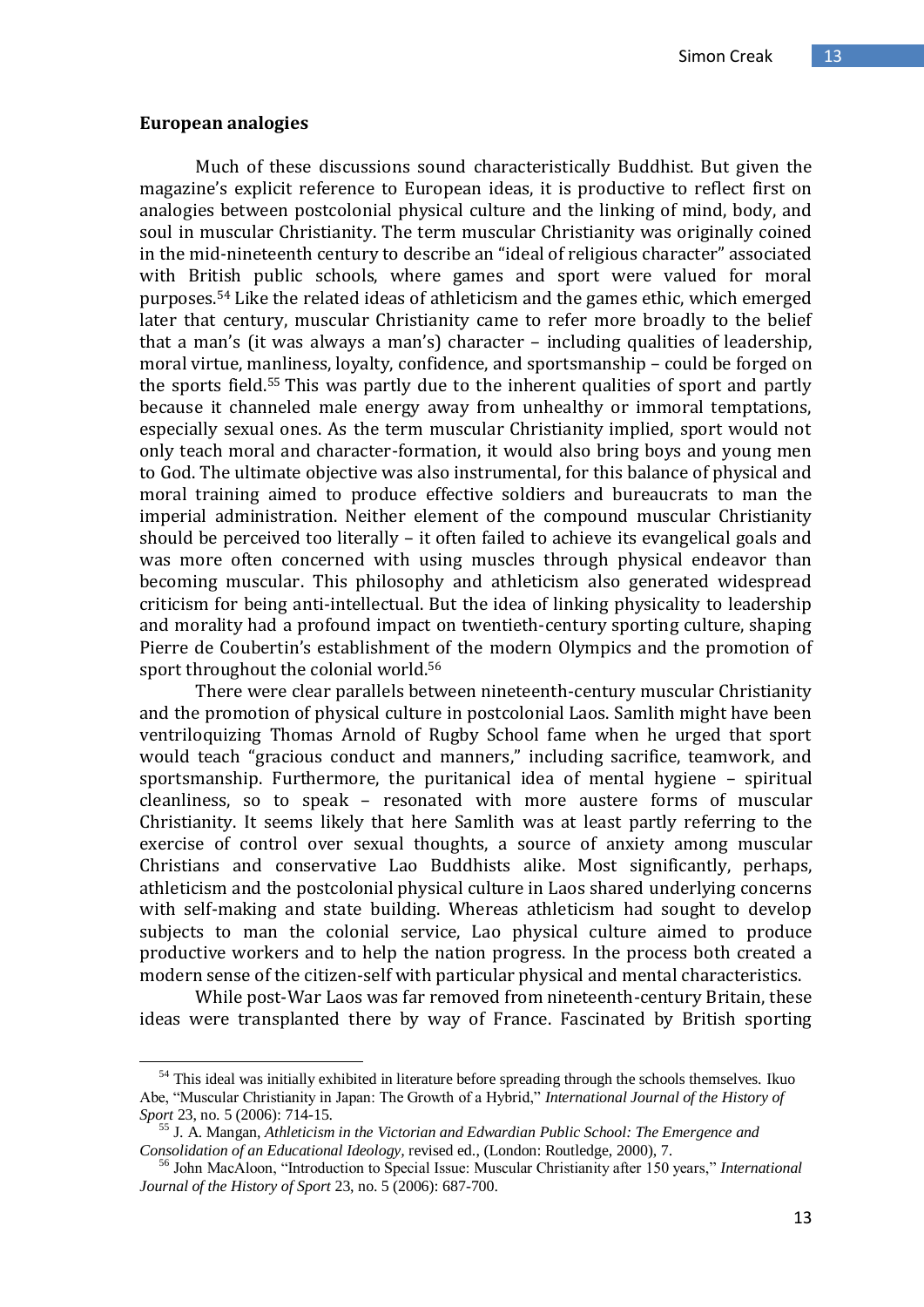#### **European analogies**

-

Much of these discussions sound characteristically Buddhist. But given the magazine's explicit reference to European ideas, it is productive to reflect first on analogies between postcolonial physical culture and the linking of mind, body, and soul in muscular Christianity. The term muscular Christianity was originally coined in the mid-nineteenth century to describe an "ideal of religious character" associated with British public schools, where games and sport were valued for moral purposes. <sup>54</sup> Like the related ideas of athleticism and the games ethic, which emerged later that century, muscular Christianity came to refer more broadly to the belief that a man's (it was always a man's) character – including qualities of leadership, moral virtue, manliness, loyalty, confidence, and sportsmanship – could be forged on the sports field. <sup>55</sup> This was partly due to the inherent qualities of sport and partly because it channeled male energy away from unhealthy or immoral temptations, especially sexual ones. As the term muscular Christianity implied, sport would not only teach moral and character-formation, it would also bring boys and young men to God. The ultimate objective was also instrumental, for this balance of physical and moral training aimed to produce effective soldiers and bureaucrats to man the imperial administration. Neither element of the compound muscular Christianity should be perceived too literally – it often failed to achieve its evangelical goals and was more often concerned with using muscles through physical endeavor than becoming muscular. This philosophy and athleticism also generated widespread criticism for being anti-intellectual. But the idea of linking physicality to leadership and morality had a profound impact on twentieth-century sporting culture, shaping Pierre de Coubertin's establishment of the modern Olympics and the promotion of sport throughout the colonial world.<sup>56</sup>

There were clear parallels between nineteenth-century muscular Christianity and the promotion of physical culture in postcolonial Laos. Samlith might have been ventriloquizing Thomas Arnold of Rugby School fame when he urged that sport would teach "gracious conduct and manners," including sacrifice, teamwork, and sportsmanship. Furthermore, the puritanical idea of mental hygiene – spiritual cleanliness, so to speak – resonated with more austere forms of muscular Christianity. It seems likely that here Samlith was at least partly referring to the exercise of control over sexual thoughts, a source of anxiety among muscular Christians and conservative Lao Buddhists alike. Most significantly, perhaps, athleticism and the postcolonial physical culture in Laos shared underlying concerns with self-making and state building. Whereas athleticism had sought to develop subjects to man the colonial service, Lao physical culture aimed to produce productive workers and to help the nation progress. In the process both created a modern sense of the citizen-self with particular physical and mental characteristics.

While post-War Laos was far removed from nineteenth-century Britain, these ideas were transplanted there by way of France. Fascinated by British sporting

<sup>&</sup>lt;sup>54</sup> This ideal was initially exhibited in literature before spreading through the schools themselves. Ikuo Abe, "Muscular Christianity in Japan: The Growth of a Hybrid," *International Journal of the History of Sport* 23, no. 5 (2006): 714-15.

<sup>55</sup> J. A. Mangan, *Athleticism in the Victorian and Edwardian Public School: The Emergence and Consolidation of an Educational Ideology,* revised ed., (London: Routledge, 2000), 7.

<sup>56</sup> John MacAloon, "Introduction to Special Issue: Muscular Christianity after 150 years," *International Journal of the History of Sport* 23, no. 5 (2006): 687-700.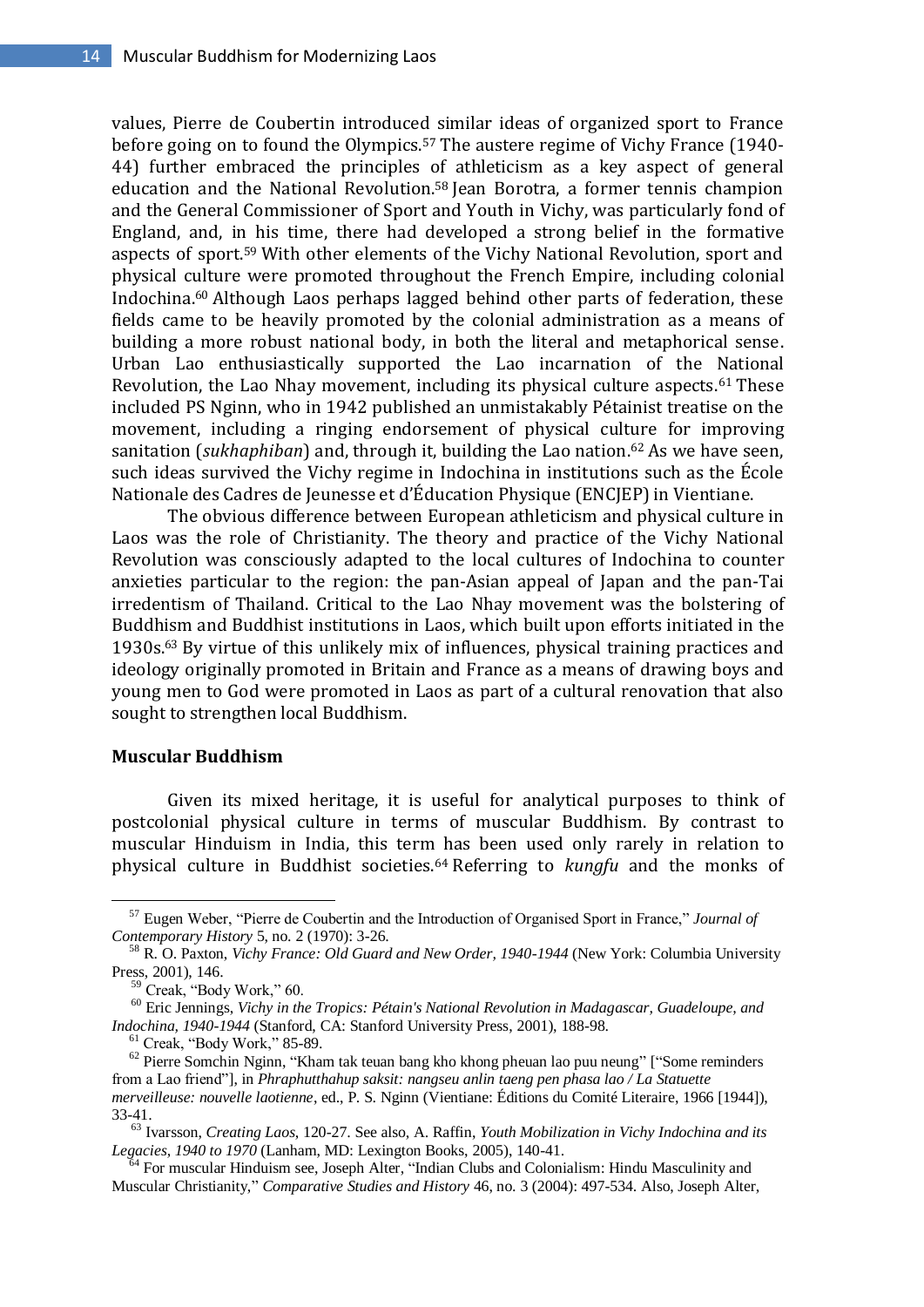values, Pierre de Coubertin introduced similar ideas of organized sport to France before going on to found the Olympics.<sup>57</sup> The austere regime of Vichy France (1940- 44) further embraced the principles of athleticism as a key aspect of general education and the National Revolution.<sup>58</sup> Jean Borotra, a former tennis champion and the General Commissioner of Sport and Youth in Vichy, was particularly fond of England, and, in his time, there had developed a strong belief in the formative aspects of sport. <sup>59</sup> With other elements of the Vichy National Revolution, sport and physical culture were promoted throughout the French Empire, including colonial Indochina. <sup>60</sup> Although Laos perhaps lagged behind other parts of federation, these fields came to be heavily promoted by the colonial administration as a means of building a more robust national body, in both the literal and metaphorical sense. Urban Lao enthusiastically supported the Lao incarnation of the National Revolution, the Lao Nhay movement, including its physical culture aspects. <sup>61</sup> These included PS Nginn, who in 1942 published an unmistakably Pétainist treatise on the movement, including a ringing endorsement of physical culture for improving sanitation (*sukhaphiban*) and, through it, building the Lao nation. <sup>62</sup> As we have seen, such ideas survived the Vichy regime in Indochina in institutions such as the École Nationale des Cadres de Jeunesse et d'Éducation Physique (ENCJEP) in Vientiane.

The obvious difference between European athleticism and physical culture in Laos was the role of Christianity. The theory and practice of the Vichy National Revolution was consciously adapted to the local cultures of Indochina to counter anxieties particular to the region: the pan-Asian appeal of Japan and the pan-Tai irredentism of Thailand. Critical to the Lao Nhay movement was the bolstering of Buddhism and Buddhist institutions in Laos, which built upon efforts initiated in the 1930s. <sup>63</sup> By virtue of this unlikely mix of influences, physical training practices and ideology originally promoted in Britain and France as a means of drawing boys and young men to God were promoted in Laos as part of a cultural renovation that also sought to strengthen local Buddhism.

## **Muscular Buddhism**

-

Given its mixed heritage, it is useful for analytical purposes to think of postcolonial physical culture in terms of muscular Buddhism. By contrast to muscular Hinduism in India, this term has been used only rarely in relation to physical culture in Buddhist societies.<sup>64</sup> Referring to *kungfu* and the monks of

<sup>57</sup> Eugen Weber, "Pierre de Coubertin and the Introduction of Organised Sport in France," *Journal of Contemporary History* 5, no. 2 (1970): 3-26.

<sup>58</sup> R. O. Paxton, *Vichy France: Old Guard and New Order, 1940-1944* (New York: Columbia University Press, 2001), 146.

 $59$  Creak, "Body Work," 60.

<sup>60</sup> Eric Jennings, *Vichy in the Tropics: Pétain's National Revolution in Madagascar, Guadeloupe, and Indochina, 1940-1944* (Stanford, CA: Stanford University Press, 2001), 188-98.

<sup>61</sup> Creak, "Body Work," 85-89.

<sup>&</sup>lt;sup>62</sup> Pierre Somchin Nginn, "Kham tak teuan bang kho khong pheuan lao puu neung" ["Some reminders from a Lao friend"], in *Phraphutthahup saksit: nangseu anlin taeng pen phasa lao / La Statuette merveilleuse: nouvelle laotienne*, ed., P. S. Nginn (Vientiane: Éditions du Comité Literaire, 1966 [1944]), 33-41.

<sup>63</sup> Ivarsson, *Creating Laos*, 120-27. See also, A. Raffin, *Youth Mobilization in Vichy Indochina and its Legacies, 1940 to 1970* (Lanham, MD: Lexington Books, 2005), 140-41.

<sup>&</sup>lt;sup>4</sup> For muscular Hinduism see, Joseph Alter, "Indian Clubs and Colonialism: Hindu Masculinity and Muscular Christianity," *Comparative Studies and History* 46, no. 3 (2004): 497-534. Also, Joseph Alter,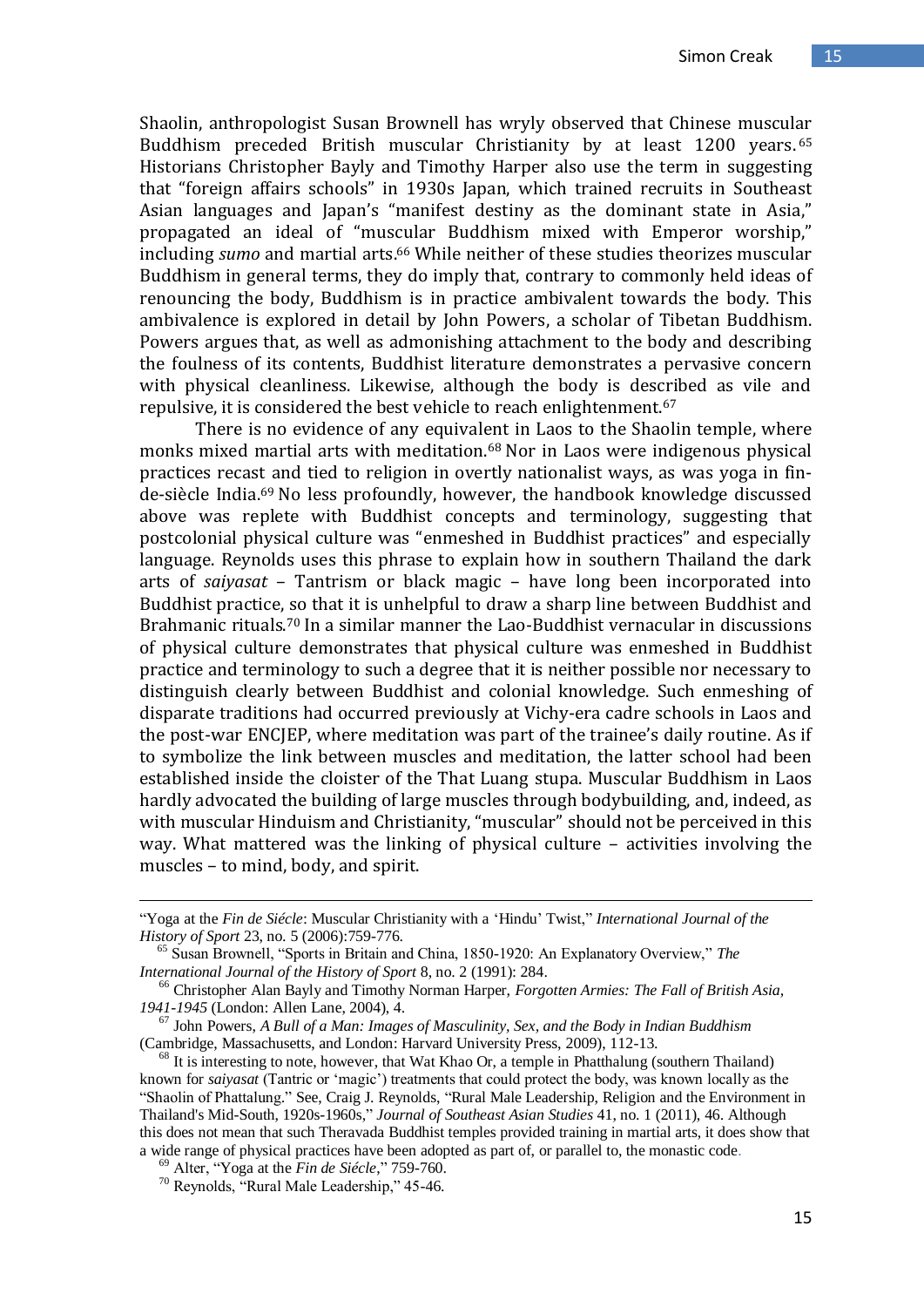Shaolin, anthropologist Susan Brownell has wryly observed that Chinese muscular Buddhism preceded British muscular Christianity by at least 1200 years. 65 Historians Christopher Bayly and Timothy Harper also use the term in suggesting that "foreign affairs schools" in 1930s Japan, which trained recruits in Southeast Asian languages and Japan's "manifest destiny as the dominant state in Asia," propagated an ideal of "muscular Buddhism mixed with Emperor worship," including *sumo* and martial arts. <sup>66</sup> While neither of these studies theorizes muscular Buddhism in general terms, they do imply that, contrary to commonly held ideas of renouncing the body, Buddhism is in practice ambivalent towards the body. This ambivalence is explored in detail by John Powers, a scholar of Tibetan Buddhism. Powers argues that, as well as admonishing attachment to the body and describing the foulness of its contents, Buddhist literature demonstrates a pervasive concern with physical cleanliness. Likewise, although the body is described as vile and repulsive, it is considered the best vehicle to reach enlightenment.<sup>67</sup>

There is no evidence of any equivalent in Laos to the Shaolin temple, where monks mixed martial arts with meditation.<sup>68</sup> Nor in Laos were indigenous physical practices recast and tied to religion in overtly nationalist ways, as was yoga in finde-siècle India.<sup>69</sup> No less profoundly, however, the handbook knowledge discussed above was replete with Buddhist concepts and terminology, suggesting that postcolonial physical culture was "enmeshed in Buddhist practices" and especially language. Reynolds uses this phrase to explain how in southern Thailand the dark arts of *saiyasat* – Tantrism or black magic – have long been incorporated into Buddhist practice, so that it is unhelpful to draw a sharp line between Buddhist and Brahmanic rituals.<sup>70</sup> In a similar manner the Lao-Buddhist vernacular in discussions of physical culture demonstrates that physical culture was enmeshed in Buddhist practice and terminology to such a degree that it is neither possible nor necessary to distinguish clearly between Buddhist and colonial knowledge. Such enmeshing of disparate traditions had occurred previously at Vichy-era cadre schools in Laos and the post-war ENCJEP, where meditation was part of the trainee's daily routine. As if to symbolize the link between muscles and meditation, the latter school had been established inside the cloister of the That Luang stupa. Muscular Buddhism in Laos hardly advocated the building of large muscles through bodybuilding, and, indeed, as with muscular Hinduism and Christianity, "muscular" should not be perceived in this way. What mattered was the linking of physical culture – activities involving the muscles – to mind, body, and spirit.

<sup>&</sup>quot;Yoga at the *Fin de Siécle*: Muscular Christianity with a "Hindu" Twist," *International Journal of the History of Sport* 23, no. 5 (2006):759-776.

<sup>65</sup> Susan Brownell, "Sports in Britain and China, 1850-1920: An Explanatory Overview," *The International Journal of the History of Sport* 8, no. 2 (1991): 284.

<sup>66</sup> Christopher Alan Bayly and Timothy Norman Harper, *Forgotten Armies: The Fall of British Asia, 1941-1945* (London: Allen Lane, 2004), 4.

<sup>67</sup> John Powers, *A Bull of a Man: Images of Masculinity, Sex, and the Body in Indian Buddhism* (Cambridge, Massachusetts, and London: Harvard University Press, 2009), 112-13.

 $68$  It is interesting to note, however, that Wat Khao Or, a temple in Phatthalung (southern Thailand) known for *saiyasat* (Tantric or "magic") treatments that could protect the body, was known locally as the "Shaolin of Phattalung." See, Craig J. Reynolds, "Rural Male Leadership, Religion and the Environment in Thailand's Mid-South, 1920s-1960s," *Journal of Southeast Asian Studies* 41, no. 1 (2011), 46. Although this does not mean that such Theravada Buddhist temples provided training in martial arts, it does show that a wide range of physical practices have been adopted as part of, or parallel to, the monastic code.

<sup>69</sup> Alter, "Yoga at the *Fin de Siécle*," 759-760.

<sup>70</sup> Reynolds, "Rural Male Leadership," 45-46.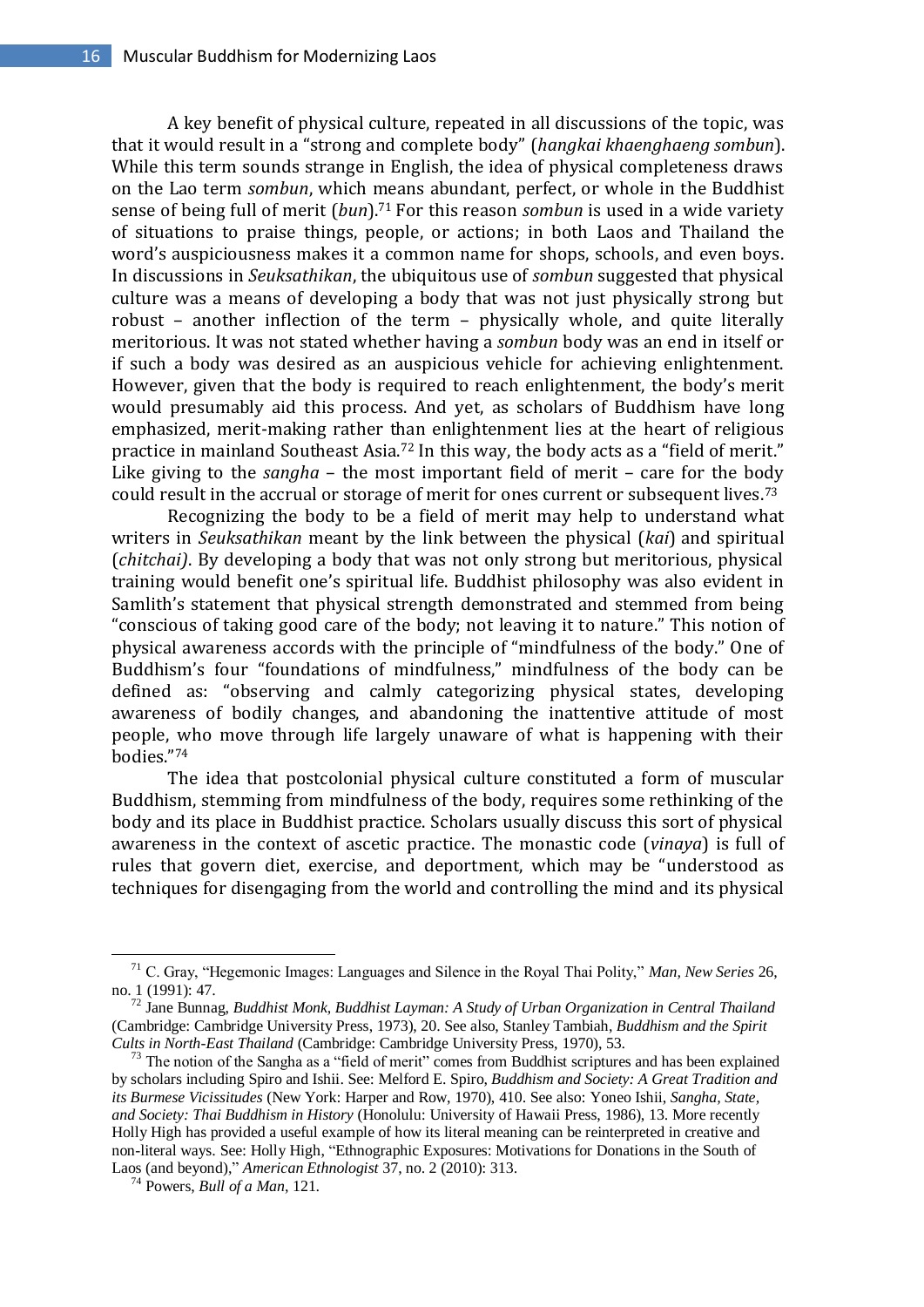A key benefit of physical culture, repeated in all discussions of the topic, was that it would result in a "strong and complete body" (*hangkai khaenghaeng sombun*). While this term sounds strange in English, the idea of physical completeness draws on the Lao term *sombun*, which means abundant, perfect, or whole in the Buddhist sense of being full of merit (*bun*). <sup>71</sup> For this reason *sombun* is used in a wide variety of situations to praise things, people, or actions; in both Laos and Thailand the word's auspiciousness makes it a common name for shops, schools, and even boys. In discussions in *Seuksathikan*, the ubiquitous use of *sombun* suggested that physical culture was a means of developing a body that was not just physically strong but robust – another inflection of the term – physically whole, and quite literally meritorious. It was not stated whether having a *sombun* body was an end in itself or if such a body was desired as an auspicious vehicle for achieving enlightenment. However, given that the body is required to reach enlightenment, the body's merit would presumably aid this process. And yet, as scholars of Buddhism have long emphasized, merit-making rather than enlightenment lies at the heart of religious practice in mainland Southeast Asia.<sup>72</sup> In this way, the body acts as a "field of merit." Like giving to the *sangha* – the most important field of merit – care for the body could result in the accrual or storage of merit for ones current or subsequent lives.<sup>73</sup>

Recognizing the body to be a field of merit may help to understand what writers in *Seuksathikan* meant by the link between the physical (*kai*) and spiritual (*chitchai)*. By developing a body that was not only strong but meritorious, physical training would benefit one's spiritual life. Buddhist philosophy was also evident in Samlith's statement that physical strength demonstrated and stemmed from being "conscious of taking good care of the body; not leaving it to nature." This notion of physical awareness accords with the principle of "mindfulness of the body." One of Buddhism's four "foundations of mindfulness," mindfulness of the body can be defined as: "observing and calmly categorizing physical states, developing awareness of bodily changes, and abandoning the inattentive attitude of most people, who move through life largely unaware of what is happening with their bodies." 74

The idea that postcolonial physical culture constituted a form of muscular Buddhism, stemming from mindfulness of the body, requires some rethinking of the body and its place in Buddhist practice. Scholars usually discuss this sort of physical awareness in the context of ascetic practice. The monastic code (*vinaya*) is full of rules that govern diet, exercise, and deportment, which may be "understood as techniques for disengaging from the world and controlling the mind and its physical

<sup>71</sup> C. Gray, "Hegemonic Images: Languages and Silence in the Royal Thai Polity," *Man, New Series* 26, no. 1 (1991): 47.

<sup>72</sup> Jane Bunnag, *Buddhist Monk, Buddhist Layman: A Study of Urban Organization in Central Thailand* (Cambridge: Cambridge University Press, 1973), 20. See also, Stanley Tambiah, *Buddhism and the Spirit Cults in North-East Thailand* (Cambridge: Cambridge University Press, 1970), 53.

 $73$  The notion of the Sangha as a "field of merit" comes from Buddhist scriptures and has been explained by scholars including Spiro and Ishii. See: Melford E. Spiro, *Buddhism and Society: A Great Tradition and its Burmese Vicissitudes* (New York: Harper and Row, 1970), 410. See also: Yoneo Ishii, *Sangha, State, and Society: Thai Buddhism in History* (Honolulu: University of Hawaii Press, 1986), 13. More recently Holly High has provided a useful example of how its literal meaning can be reinterpreted in creative and non-literal ways. See: Holly High, "Ethnographic Exposures: Motivations for Donations in the South of Laos (and beyond)," *American Ethnologist* 37, no. 2 (2010): 313.

<sup>74</sup> Powers, *Bull of a Man*, 121.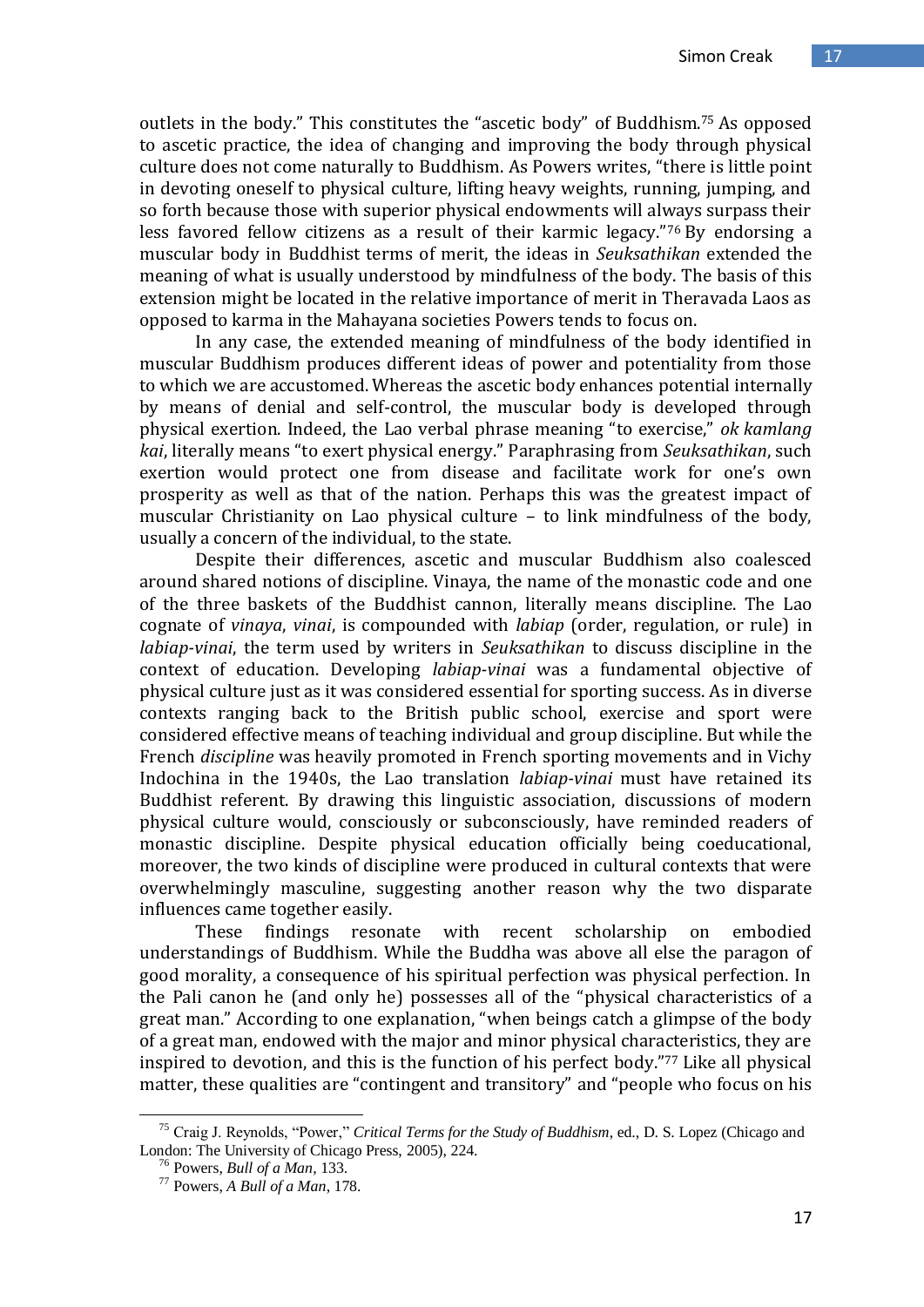outlets in the body." This constitutes the "ascetic body" of Buddhism.<sup>75</sup> As opposed to ascetic practice, the idea of changing and improving the body through physical culture does not come naturally to Buddhism. As Powers writes, "there is little point in devoting oneself to physical culture, lifting heavy weights, running, jumping, and so forth because those with superior physical endowments will always surpass their less favored fellow citizens as a result of their karmic legacy." <sup>76</sup> By endorsing a muscular body in Buddhist terms of merit, the ideas in *Seuksathikan* extended the meaning of what is usually understood by mindfulness of the body. The basis of this extension might be located in the relative importance of merit in Theravada Laos as opposed to karma in the Mahayana societies Powers tends to focus on.

In any case, the extended meaning of mindfulness of the body identified in muscular Buddhism produces different ideas of power and potentiality from those to which we are accustomed. Whereas the ascetic body enhances potential internally by means of denial and self-control, the muscular body is developed through physical exertion. Indeed, the Lao verbal phrase meaning "to exercise," *ok kamlang kai*, literally means "to exert physical energy." Paraphrasing from *Seuksathikan*, such exertion would protect one from disease and facilitate work for one's own prosperity as well as that of the nation. Perhaps this was the greatest impact of muscular Christianity on Lao physical culture – to link mindfulness of the body, usually a concern of the individual, to the state.

Despite their differences, ascetic and muscular Buddhism also coalesced around shared notions of discipline. Vinaya, the name of the monastic code and one of the three baskets of the Buddhist cannon, literally means discipline. The Lao cognate of *vinaya*, *vinai*, is compounded with *labiap* (order, regulation, or rule) in *labiap-vinai*, the term used by writers in *Seuksathikan* to discuss discipline in the context of education. Developing *labiap-vinai* was a fundamental objective of physical culture just as it was considered essential for sporting success. As in diverse contexts ranging back to the British public school, exercise and sport were considered effective means of teaching individual and group discipline. But while the French *discipline* was heavily promoted in French sporting movements and in Vichy Indochina in the 1940s, the Lao translation *labiap-vinai* must have retained its Buddhist referent. By drawing this linguistic association, discussions of modern physical culture would, consciously or subconsciously, have reminded readers of monastic discipline. Despite physical education officially being coeducational, moreover, the two kinds of discipline were produced in cultural contexts that were overwhelmingly masculine, suggesting another reason why the two disparate influences came together easily.

These findings resonate with recent scholarship on embodied understandings of Buddhism. While the Buddha was above all else the paragon of good morality, a consequence of his spiritual perfection was physical perfection. In the Pali canon he (and only he) possesses all of the "physical characteristics of a great man." According to one explanation, "when beings catch a glimpse of the body of a great man, endowed with the major and minor physical characteristics, they are inspired to devotion, and this is the function of his perfect body." <sup>77</sup> Like all physical matter, these qualities are "contingent and transitory" and "people who focus on his

<sup>75</sup> Craig J. Reynolds, "Power," *Critical Terms for the Study of Buddhism*, ed., D. S. Lopez (Chicago and London: The University of Chicago Press, 2005), 224.

<sup>76</sup> Powers, *Bull of a Man*, 133.

<sup>77</sup> Powers, *A Bull of a Man*, 178.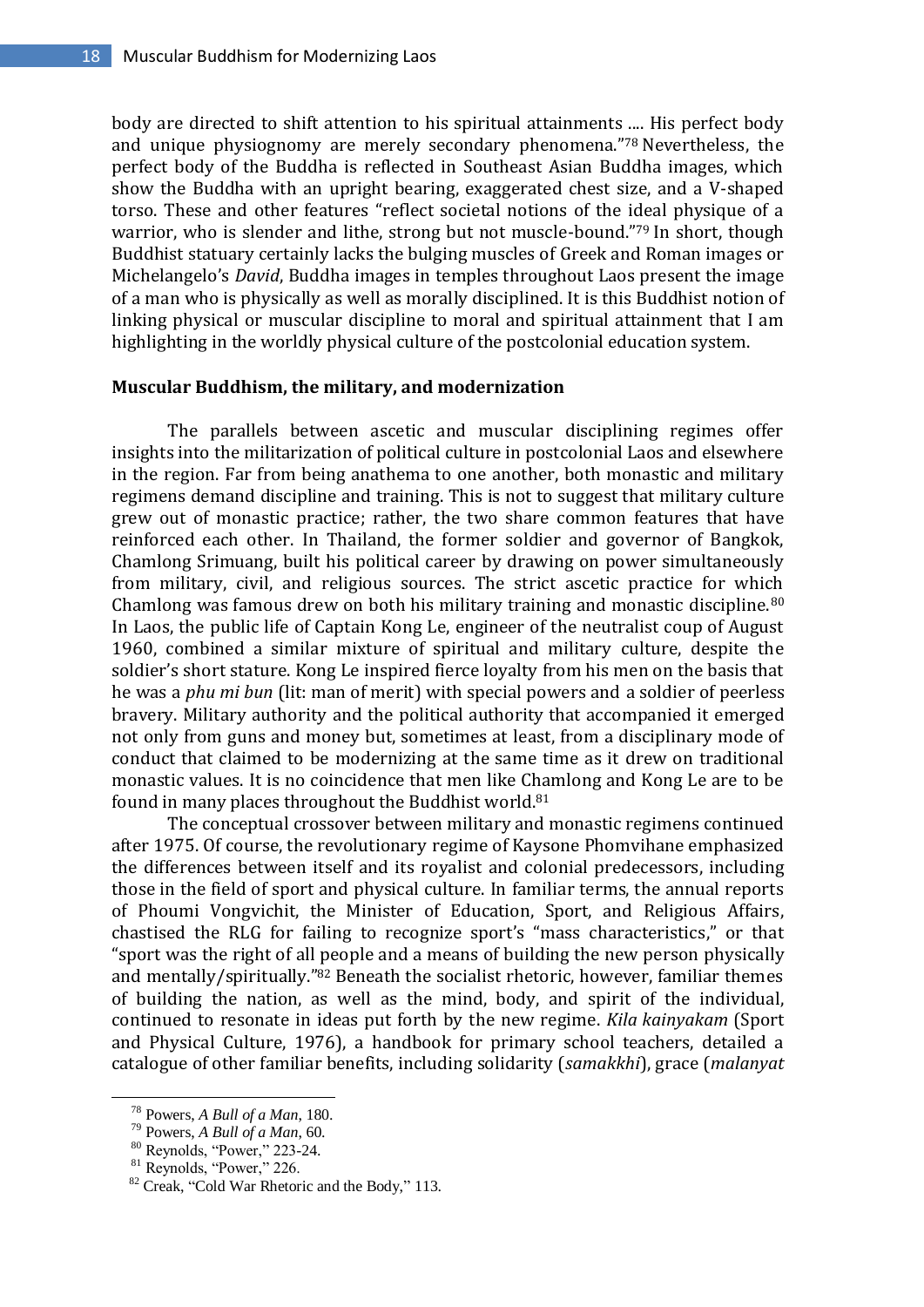body are directed to shift attention to his spiritual attainments .... His perfect body and unique physiognomy are merely secondary phenomena." <sup>78</sup> Nevertheless, the perfect body of the Buddha is reflected in Southeast Asian Buddha images, which show the Buddha with an upright bearing, exaggerated chest size, and a V-shaped torso. These and other features "reflect societal notions of the ideal physique of a warrior, who is slender and lithe, strong but not muscle-bound."79 In short, though Buddhist statuary certainly lacks the bulging muscles of Greek and Roman images or Michelangelo's *David*, Buddha images in temples throughout Laos present the image of a man who is physically as well as morally disciplined. It is this Buddhist notion of linking physical or muscular discipline to moral and spiritual attainment that I am highlighting in the worldly physical culture of the postcolonial education system.

#### **Muscular Buddhism, the military, and modernization**

The parallels between ascetic and muscular disciplining regimes offer insights into the militarization of political culture in postcolonial Laos and elsewhere in the region. Far from being anathema to one another, both monastic and military regimens demand discipline and training. This is not to suggest that military culture grew out of monastic practice; rather, the two share common features that have reinforced each other. In Thailand, the former soldier and governor of Bangkok, Chamlong Srimuang, built his political career by drawing on power simultaneously from military, civil, and religious sources. The strict ascetic practice for which Chamlong was famous drew on both his military training and monastic discipline.<sup>80</sup> In Laos, the public life of Captain Kong Le, engineer of the neutralist coup of August 1960, combined a similar mixture of spiritual and military culture, despite the soldier's short stature. Kong Le inspired fierce loyalty from his men on the basis that he was a *phu mi bun* (lit: man of merit) with special powers and a soldier of peerless bravery. Military authority and the political authority that accompanied it emerged not only from guns and money but, sometimes at least, from a disciplinary mode of conduct that claimed to be modernizing at the same time as it drew on traditional monastic values. It is no coincidence that men like Chamlong and Kong Le are to be found in many places throughout the Buddhist world.<sup>81</sup>

The conceptual crossover between military and monastic regimens continued after 1975. Of course, the revolutionary regime of Kaysone Phomvihane emphasized the differences between itself and its royalist and colonial predecessors, including those in the field of sport and physical culture. In familiar terms, the annual reports of Phoumi Vongvichit, the Minister of Education, Sport, and Religious Affairs, chastised the RLG for failing to recognize sport's "mass characteristics," or that "sport was the right of all people and a means of building the new person physically and mentally/spiritually."<sup>82</sup> Beneath the socialist rhetoric, however, familiar themes of building the nation, as well as the mind, body, and spirit of the individual, continued to resonate in ideas put forth by the new regime. *Kila kainyakam* (Sport and Physical Culture, 1976), a handbook for primary school teachers, detailed a catalogue of other familiar benefits, including solidarity (*samakkhi*), grace (*malanyat* 

<sup>78</sup> Powers, *A Bull of a Man*, 180.

<sup>79</sup> Powers, *A Bull of a Man*, 60.

<sup>80</sup> Reynolds, "Power," 223-24.

 $81$  Reynolds, "Power," 226.

<sup>82</sup> Creak, "Cold War Rhetoric and the Body," 113.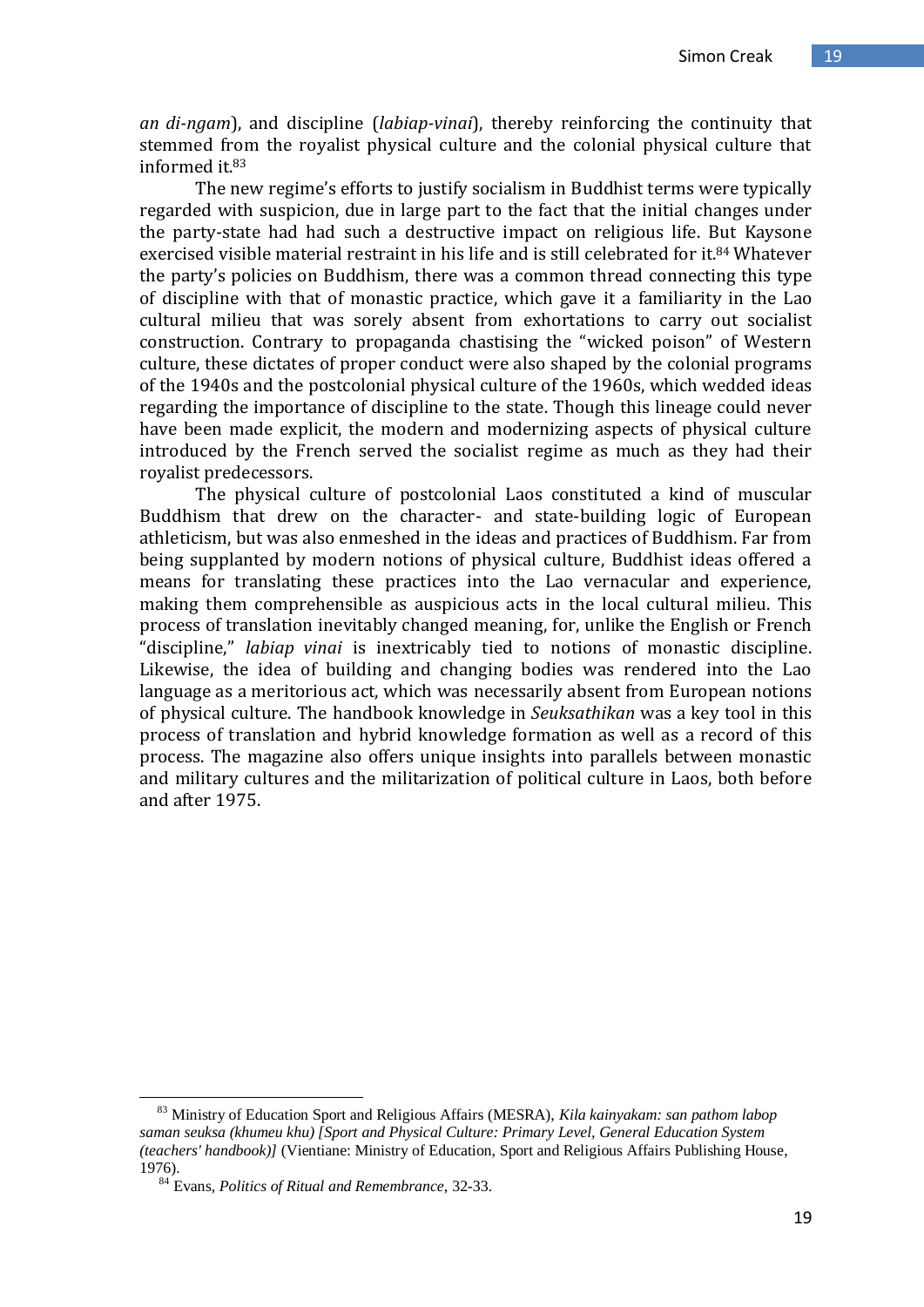*an di-ngam*), and discipline (*labiap-vinai*), thereby reinforcing the continuity that stemmed from the royalist physical culture and the colonial physical culture that informed it.<sup>83</sup>

The new regime's efforts to justify socialism in Buddhist terms were typically regarded with suspicion, due in large part to the fact that the initial changes under the party-state had had such a destructive impact on religious life. But Kaysone exercised visible material restraint in his life and is still celebrated for it.<sup>84</sup> Whatever the party's policies on Buddhism, there was a common thread connecting this type of discipline with that of monastic practice, which gave it a familiarity in the Lao cultural milieu that was sorely absent from exhortations to carry out socialist construction. Contrary to propaganda chastising the "wicked poison" of Western culture, these dictates of proper conduct were also shaped by the colonial programs of the 1940s and the postcolonial physical culture of the 1960s, which wedded ideas regarding the importance of discipline to the state. Though this lineage could never have been made explicit, the modern and modernizing aspects of physical culture introduced by the French served the socialist regime as much as they had their royalist predecessors.

The physical culture of postcolonial Laos constituted a kind of muscular Buddhism that drew on the character- and state-building logic of European athleticism, but was also enmeshed in the ideas and practices of Buddhism. Far from being supplanted by modern notions of physical culture, Buddhist ideas offered a means for translating these practices into the Lao vernacular and experience, making them comprehensible as auspicious acts in the local cultural milieu. This process of translation inevitably changed meaning, for, unlike the English or French "discipline," *labiap vinai* is inextricably tied to notions of monastic discipline. Likewise, the idea of building and changing bodies was rendered into the Lao language as a meritorious act, which was necessarily absent from European notions of physical culture. The handbook knowledge in *Seuksathikan* was a key tool in this process of translation and hybrid knowledge formation as well as a record of this process. The magazine also offers unique insights into parallels between monastic and military cultures and the militarization of political culture in Laos, both before and after 1975.

<sup>83</sup> Ministry of Education Sport and Religious Affairs (MESRA), *Kila kainyakam: san pathom labop saman seuksa (khumeu khu) [Sport and Physical Culture: Primary Level, General Education System (teachers' handbook)]* (Vientiane: Ministry of Education, Sport and Religious Affairs Publishing House, 1976).

<sup>84</sup> Evans, *Politics of Ritual and Remembrance*, 32-33.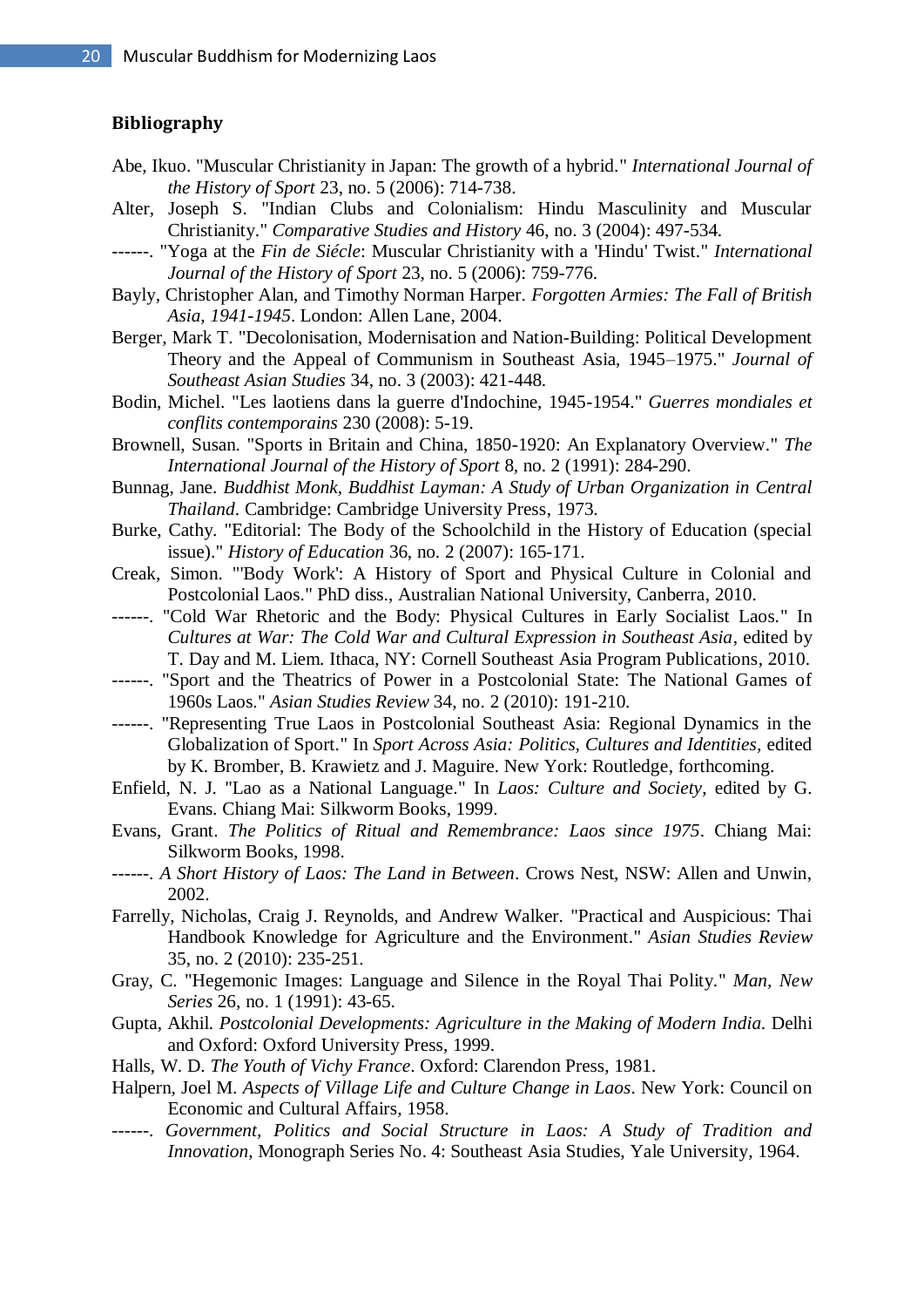## **Bibliography**

- Abe, Ikuo. "Muscular Christianity in Japan: The growth of a hybrid." *International Journal of the History of Sport* 23, no. 5 (2006): 714-738.
- Alter, Joseph S. "Indian Clubs and Colonialism: Hindu Masculinity and Muscular Christianity." *Comparative Studies and History* 46, no. 3 (2004): 497-534.
- ------. "Yoga at the *Fin de Siécle*: Muscular Christianity with a 'Hindu' Twist." *International Journal of the History of Sport* 23, no. 5 (2006): 759-776.
- Bayly, Christopher Alan, and Timothy Norman Harper. *Forgotten Armies: The Fall of British Asia, 1941-1945*. London: Allen Lane, 2004.
- Berger, Mark T. "Decolonisation, Modernisation and Nation-Building: Political Development Theory and the Appeal of Communism in Southeast Asia, 1945–1975." *Journal of Southeast Asian Studies* 34, no. 3 (2003): 421-448.
- Bodin, Michel. "Les laotiens dans la guerre d'Indochine, 1945-1954." *Guerres mondiales et conflits contemporains* 230 (2008): 5-19.
- Brownell, Susan. "Sports in Britain and China, 1850-1920: An Explanatory Overview." *The International Journal of the History of Sport* 8, no. 2 (1991): 284-290.
- Bunnag, Jane. *Buddhist Monk, Buddhist Layman: A Study of Urban Organization in Central Thailand*. Cambridge: Cambridge University Press, 1973.
- Burke, Cathy. "Editorial: The Body of the Schoolchild in the History of Education (special issue)." *History of Education* 36, no. 2 (2007): 165-171.
- Creak, Simon. "'Body Work': A History of Sport and Physical Culture in Colonial and Postcolonial Laos." PhD diss., Australian National University, Canberra, 2010.
- ------. "Cold War Rhetoric and the Body: Physical Cultures in Early Socialist Laos." In *Cultures at War: The Cold War and Cultural Expression in Southeast Asia*, edited by T. Day and M. Liem. Ithaca, NY: Cornell Southeast Asia Program Publications, 2010.
- ------. "Sport and the Theatrics of Power in a Postcolonial State: The National Games of 1960s Laos." *Asian Studies Review* 34, no. 2 (2010): 191-210.
- ------. "Representing True Laos in Postcolonial Southeast Asia: Regional Dynamics in the Globalization of Sport." In *Sport Across Asia: Politics, Cultures and Identities*, edited by K. Bromber, B. Krawietz and J. Maguire. New York: Routledge, forthcoming.
- Enfield, N. J. "Lao as a National Language." In *Laos: Culture and Society*, edited by G. Evans. Chiang Mai: Silkworm Books, 1999.
- Evans, Grant. *The Politics of Ritual and Remembrance: Laos since 1975*. Chiang Mai: Silkworm Books, 1998.
- ------. *A Short History of Laos: The Land in Between*. Crows Nest, NSW: Allen and Unwin, 2002.
- Farrelly, Nicholas, Craig J. Reynolds, and Andrew Walker. "Practical and Auspicious: Thai Handbook Knowledge for Agriculture and the Environment." *Asian Studies Review* 35, no. 2 (2010): 235-251.
- Gray, C. "Hegemonic Images: Language and Silence in the Royal Thai Polity." *Man, New Series* 26, no. 1 (1991): 43-65.
- Gupta, Akhil. *Postcolonial Developments: Agriculture in the Making of Modern India*. Delhi and Oxford: Oxford University Press, 1999.
- Halls, W. D. *The Youth of Vichy France*. Oxford: Clarendon Press, 1981.
- Halpern, Joel M. *Aspects of Village Life and Culture Change in Laos*. New York: Council on Economic and Cultural Affairs, 1958.
- ------. *Government, Politics and Social Structure in Laos: A Study of Tradition and Innovation*, Monograph Series No. 4: Southeast Asia Studies, Yale University, 1964.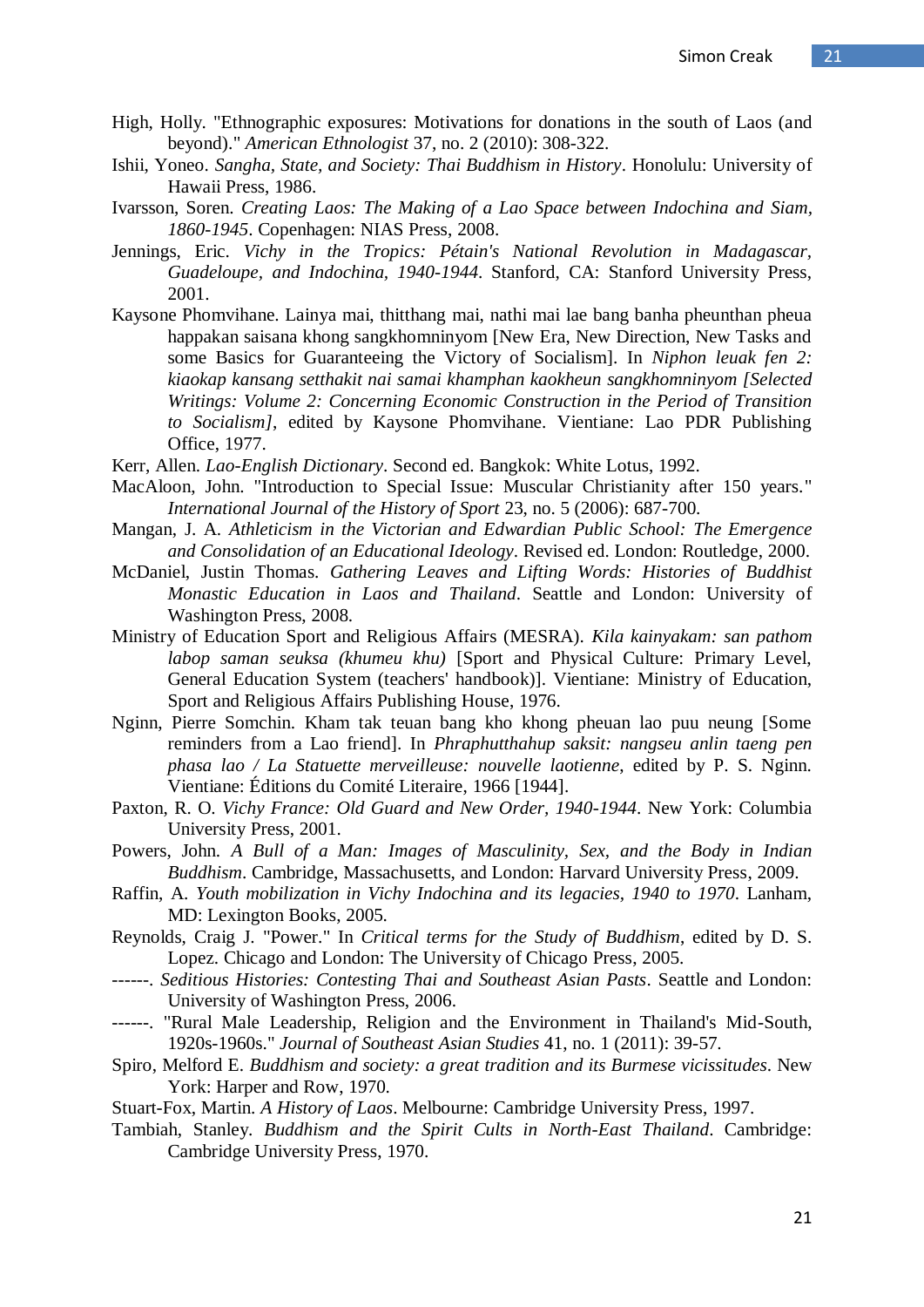- High, Holly. "Ethnographic exposures: Motivations for donations in the south of Laos (and beyond)." *American Ethnologist* 37, no. 2 (2010): 308-322.
- Ishii, Yoneo. *Sangha, State, and Society: Thai Buddhism in History*. Honolulu: University of Hawaii Press, 1986.
- Ivarsson, Soren. *Creating Laos: The Making of a Lao Space between Indochina and Siam, 1860-1945*. Copenhagen: NIAS Press, 2008.
- Jennings, Eric. *Vichy in the Tropics: Pétain's National Revolution in Madagascar, Guadeloupe, and Indochina, 1940-1944*. Stanford, CA: Stanford University Press, 2001.
- Kaysone Phomvihane. Lainya mai, thitthang mai, nathi mai lae bang banha pheunthan pheua happakan saisana khong sangkhomninyom [New Era, New Direction, New Tasks and some Basics for Guaranteeing the Victory of Socialism]. In *Niphon leuak fen 2: kiaokap kansang setthakit nai samai khamphan kaokheun sangkhomninyom [Selected Writings: Volume 2: Concerning Economic Construction in the Period of Transition to Socialism]*, edited by Kaysone Phomvihane. Vientiane: Lao PDR Publishing Office, 1977.
- Kerr, Allen. *Lao-English Dictionary*. Second ed. Bangkok: White Lotus, 1992.
- MacAloon, John. "Introduction to Special Issue: Muscular Christianity after 150 years." *International Journal of the History of Sport* 23, no. 5 (2006): 687-700.
- Mangan, J. A. *Athleticism in the Victorian and Edwardian Public School: The Emergence and Consolidation of an Educational Ideology*. Revised ed. London: Routledge, 2000.
- McDaniel, Justin Thomas. *Gathering Leaves and Lifting Words: Histories of Buddhist Monastic Education in Laos and Thailand*. Seattle and London: University of Washington Press, 2008.
- Ministry of Education Sport and Religious Affairs (MESRA). *Kila kainyakam: san pathom labop saman seuksa (khumeu khu)* [Sport and Physical Culture: Primary Level, General Education System (teachers' handbook)]. Vientiane: Ministry of Education, Sport and Religious Affairs Publishing House, 1976.
- Nginn, Pierre Somchin. Kham tak teuan bang kho khong pheuan lao puu neung [Some reminders from a Lao friend]. In *Phraphutthahup saksit: nangseu anlin taeng pen phasa lao / La Statuette merveilleuse: nouvelle laotienne*, edited by P. S. Nginn. Vientiane: Éditions du Comité Literaire, 1966 [1944].
- Paxton, R. O. *Vichy France: Old Guard and New Order, 1940-1944*. New York: Columbia University Press, 2001.
- Powers, John. *A Bull of a Man: Images of Masculinity, Sex, and the Body in Indian Buddhism*. Cambridge, Massachusetts, and London: Harvard University Press, 2009.
- Raffin, A. *Youth mobilization in Vichy Indochina and its legacies, 1940 to 1970*. Lanham, MD: Lexington Books, 2005.
- Reynolds, Craig J. "Power." In *Critical terms for the Study of Buddhism*, edited by D. S. Lopez. Chicago and London: The University of Chicago Press, 2005.
- ------. *Seditious Histories: Contesting Thai and Southeast Asian Pasts*. Seattle and London: University of Washington Press, 2006.
- ------. "Rural Male Leadership, Religion and the Environment in Thailand's Mid-South, 1920s-1960s." *Journal of Southeast Asian Studies* 41, no. 1 (2011): 39-57.
- Spiro, Melford E. *Buddhism and society: a great tradition and its Burmese vicissitudes*. New York: Harper and Row, 1970.
- Stuart-Fox, Martin. *A History of Laos*. Melbourne: Cambridge University Press, 1997.
- Tambiah, Stanley. *Buddhism and the Spirit Cults in North-East Thailand*. Cambridge: Cambridge University Press, 1970.